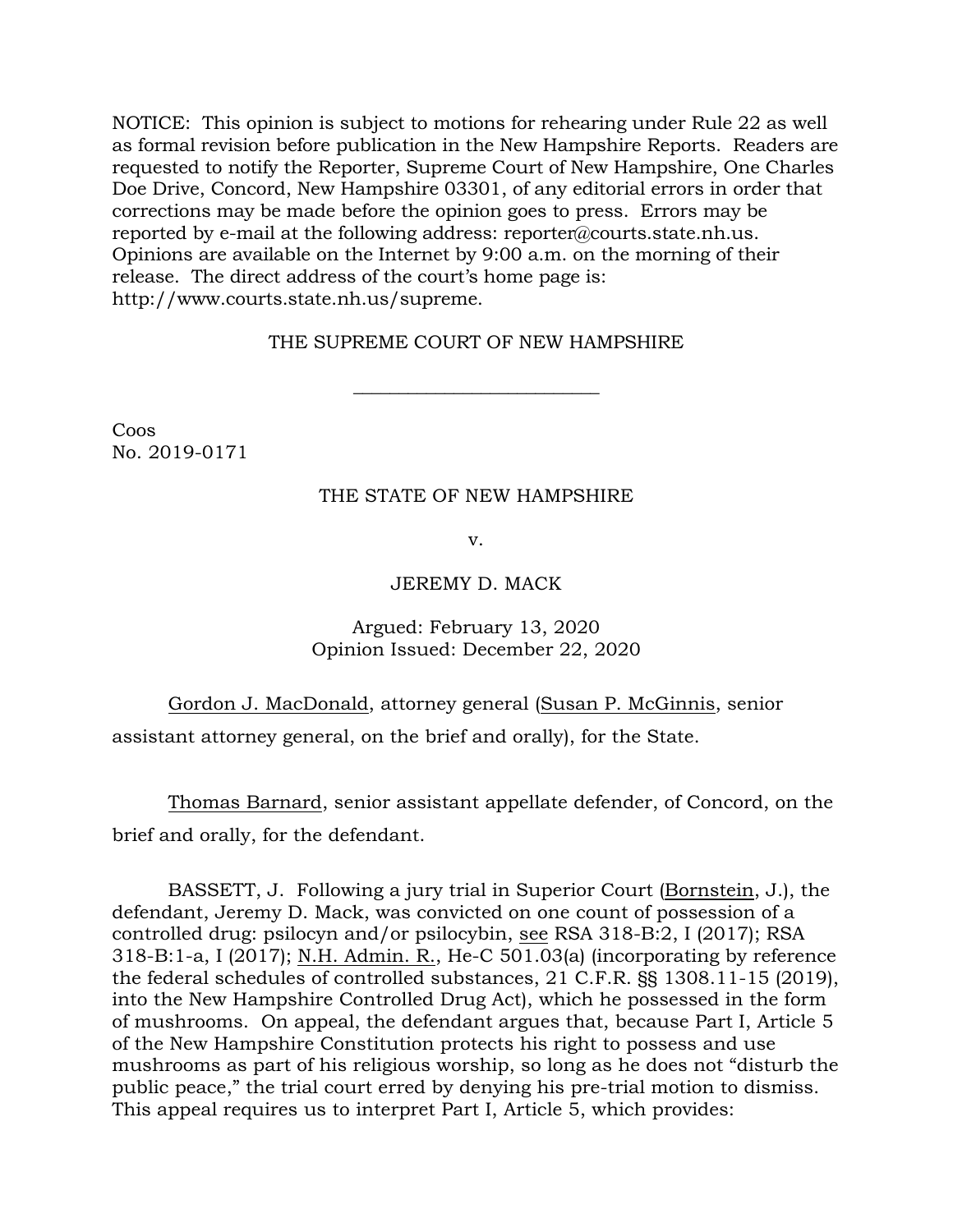NOTICE: This opinion is subject to motions for rehearing under Rule 22 as well as formal revision before publication in the New Hampshire Reports. Readers are requested to notify the Reporter, Supreme Court of New Hampshire, One Charles Doe Drive, Concord, New Hampshire 03301, of any editorial errors in order that corrections may be made before the opinion goes to press. Errors may be reported by e-mail at the following address: [reporter@courts.state.nh.us.](mailto:reporter@courts.state.nh.us) Opinions are available on the Internet by 9:00 a.m. on the morning of their release. The direct address of the court's home page is: http://www.courts.state.nh.us/supreme.

## THE SUPREME COURT OF NEW HAMPSHIRE

\_\_\_\_\_\_\_\_\_\_\_\_\_\_\_\_\_\_\_\_\_\_\_\_\_\_\_

Coos No. 2019-0171

## THE STATE OF NEW HAMPSHIRE

v.

## JEREMY D. MACK

## Argued: February 13, 2020 Opinion Issued: December 22, 2020

Gordon J. MacDonald, attorney general (Susan P. McGinnis, senior assistant attorney general, on the brief and orally), for the State.

Thomas Barnard, senior assistant appellate defender, of Concord, on the brief and orally, for the defendant.

BASSETT, J. Following a jury trial in Superior Court (Bornstein, J.), the defendant, Jeremy D. Mack, was convicted on one count of possession of a controlled drug: psilocyn and/or psilocybin, see RSA 318-B:2, I (2017); RSA 318-B:1-a, I (2017); N.H. Admin. R., He-C 501.03(a) (incorporating by reference the federal schedules of controlled substances, 21 C.F.R. §§ 1308.11-15 (2019), into the New Hampshire Controlled Drug Act), which he possessed in the form of mushrooms. On appeal, the defendant argues that, because Part I, Article 5 of the New Hampshire Constitution protects his right to possess and use mushrooms as part of his religious worship, so long as he does not "disturb the public peace," the trial court erred by denying his pre-trial motion to dismiss. This appeal requires us to interpret Part I, Article 5, which provides: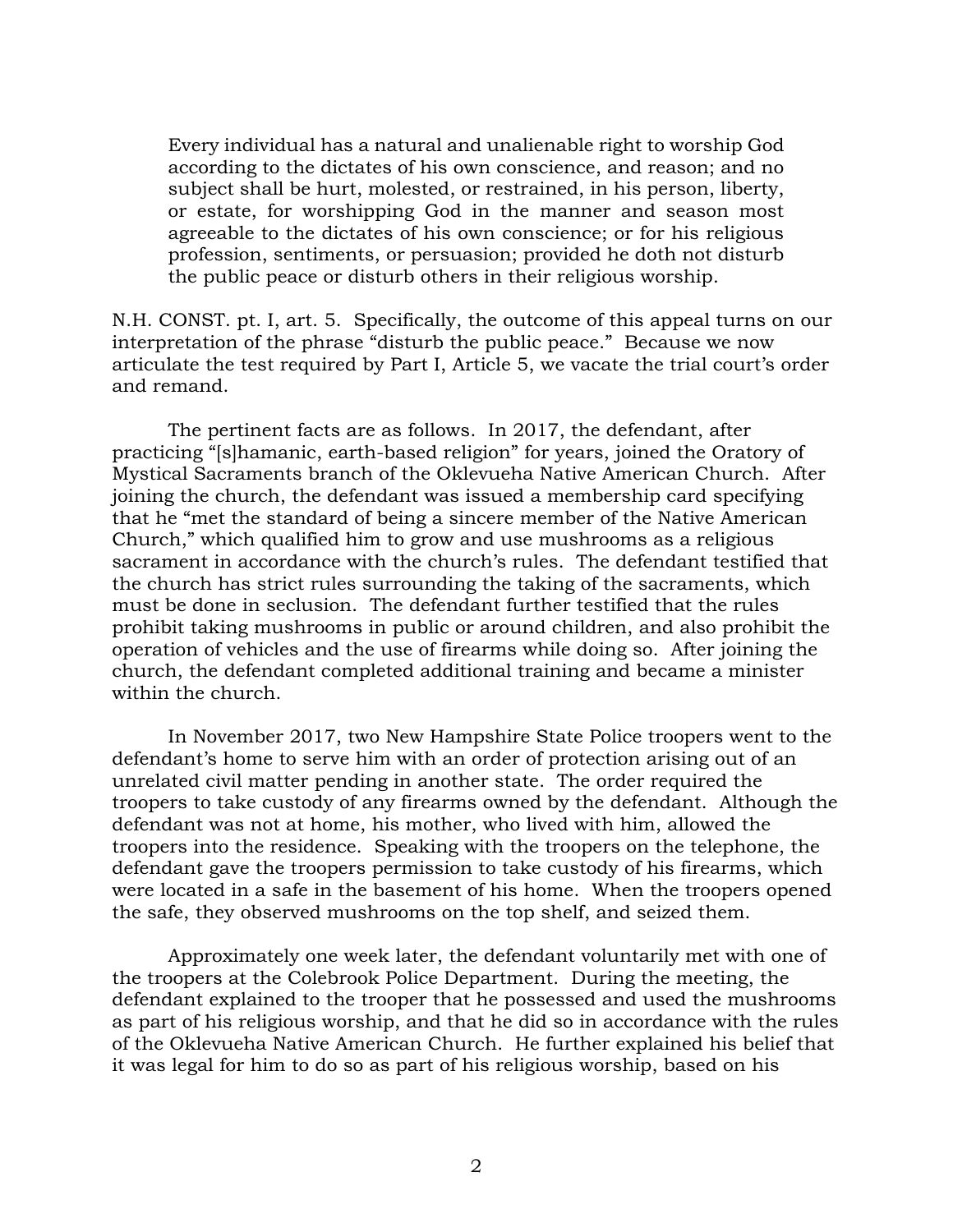Every individual has a natural and unalienable right to worship God according to the dictates of his own conscience, and reason; and no subject shall be hurt, molested, or restrained, in his person, liberty, or estate, for worshipping God in the manner and season most agreeable to the dictates of his own conscience; or for his religious profession, sentiments, or persuasion; provided he doth not disturb the public peace or disturb others in their religious worship.

N.H. CONST. pt. I, art. 5. Specifically, the outcome of this appeal turns on our interpretation of the phrase "disturb the public peace." Because we now articulate the test required by Part I, Article 5, we vacate the trial court's order and remand.

The pertinent facts are as follows. In 2017, the defendant, after practicing "[s]hamanic, earth-based religion" for years, joined the Oratory of Mystical Sacraments branch of the Oklevueha Native American Church. After joining the church, the defendant was issued a membership card specifying that he "met the standard of being a sincere member of the Native American Church," which qualified him to grow and use mushrooms as a religious sacrament in accordance with the church's rules. The defendant testified that the church has strict rules surrounding the taking of the sacraments, which must be done in seclusion. The defendant further testified that the rules prohibit taking mushrooms in public or around children, and also prohibit the operation of vehicles and the use of firearms while doing so. After joining the church, the defendant completed additional training and became a minister within the church.

In November 2017, two New Hampshire State Police troopers went to the defendant's home to serve him with an order of protection arising out of an unrelated civil matter pending in another state. The order required the troopers to take custody of any firearms owned by the defendant. Although the defendant was not at home, his mother, who lived with him, allowed the troopers into the residence. Speaking with the troopers on the telephone, the defendant gave the troopers permission to take custody of his firearms, which were located in a safe in the basement of his home. When the troopers opened the safe, they observed mushrooms on the top shelf, and seized them.

Approximately one week later, the defendant voluntarily met with one of the troopers at the Colebrook Police Department. During the meeting, the defendant explained to the trooper that he possessed and used the mushrooms as part of his religious worship, and that he did so in accordance with the rules of the Oklevueha Native American Church. He further explained his belief that it was legal for him to do so as part of his religious worship, based on his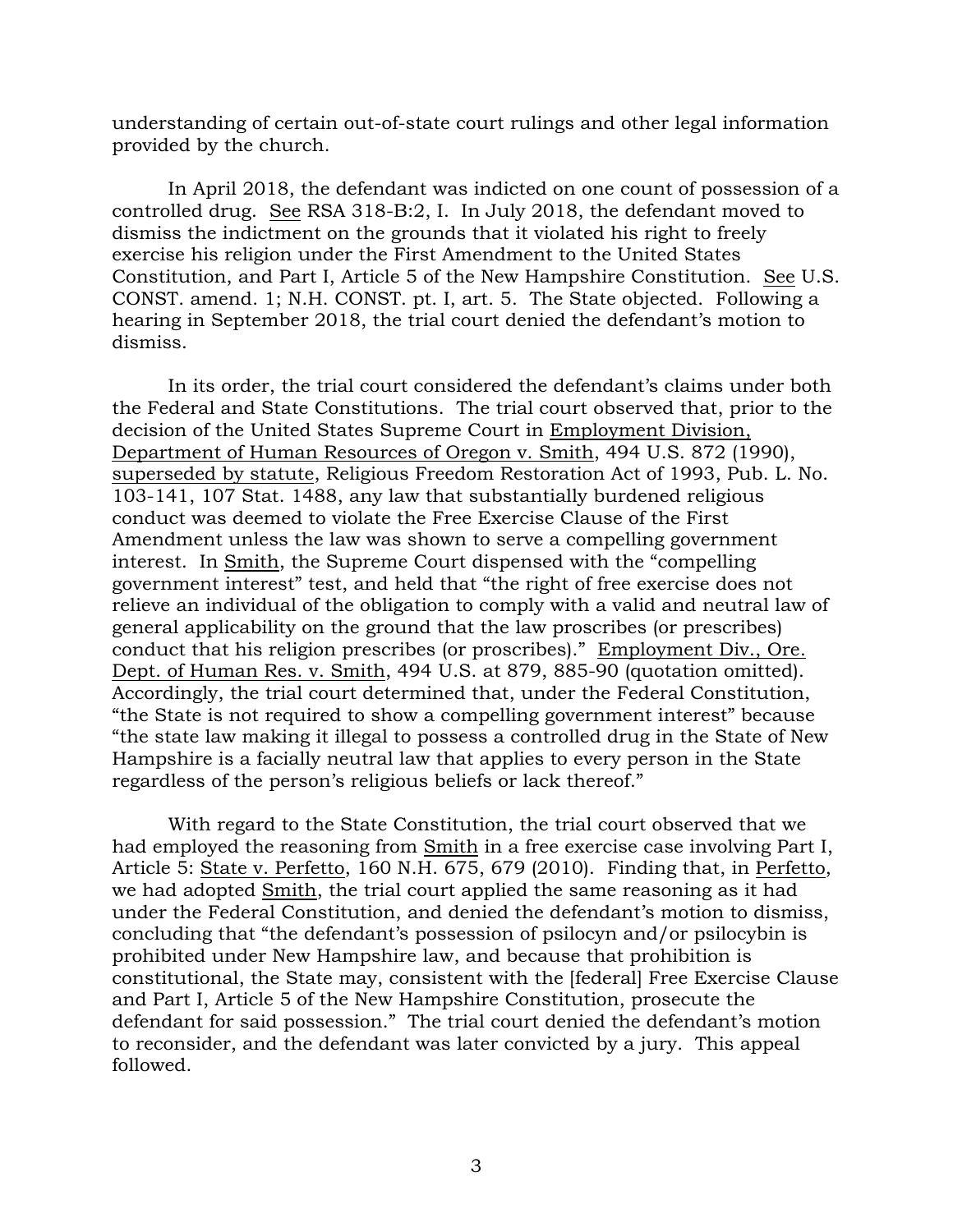understanding of certain out-of-state court rulings and other legal information provided by the church.

In April 2018, the defendant was indicted on one count of possession of a controlled drug. See RSA 318-B:2, I. In July 2018, the defendant moved to dismiss the indictment on the grounds that it violated his right to freely exercise his religion under the First Amendment to the United States Constitution, and Part I, Article 5 of the New Hampshire Constitution. See U.S. CONST. amend. 1; N.H. CONST. pt. I, art. 5. The State objected. Following a hearing in September 2018, the trial court denied the defendant's motion to dismiss.

In its order, the trial court considered the defendant's claims under both the Federal and State Constitutions. The trial court observed that, prior to the decision of the United States Supreme Court in Employment Division, Department of Human Resources of Oregon v. Smith, 494 U.S. 872 (1990), superseded by statute, Religious Freedom Restoration Act of 1993, Pub. L. No. 103-141, 107 Stat. 1488, any law that substantially burdened religious conduct was deemed to violate the Free Exercise Clause of the First Amendment unless the law was shown to serve a compelling government interest. In Smith, the Supreme Court dispensed with the "compelling government interest" test, and held that "the right of free exercise does not relieve an individual of the obligation to comply with a valid and neutral law of general applicability on the ground that the law proscribes (or prescribes) conduct that his religion prescribes (or proscribes)." Employment Div., Ore. Dept. of Human Res. v. Smith, 494 U.S. at 879, 885-90 (quotation omitted). Accordingly, the trial court determined that, under the Federal Constitution, "the State is not required to show a compelling government interest" because "the state law making it illegal to possess a controlled drug in the State of New Hampshire is a facially neutral law that applies to every person in the State regardless of the person's religious beliefs or lack thereof."

With regard to the State Constitution, the trial court observed that we had employed the reasoning from Smith in a free exercise case involving Part I, Article 5: State v. Perfetto, 160 N.H. 675, 679 (2010). Finding that, in Perfetto, we had adopted Smith, the trial court applied the same reasoning as it had under the Federal Constitution, and denied the defendant's motion to dismiss, concluding that "the defendant's possession of psilocyn and/or psilocybin is prohibited under New Hampshire law, and because that prohibition is constitutional, the State may, consistent with the [federal] Free Exercise Clause and Part I, Article 5 of the New Hampshire Constitution, prosecute the defendant for said possession." The trial court denied the defendant's motion to reconsider, and the defendant was later convicted by a jury. This appeal followed.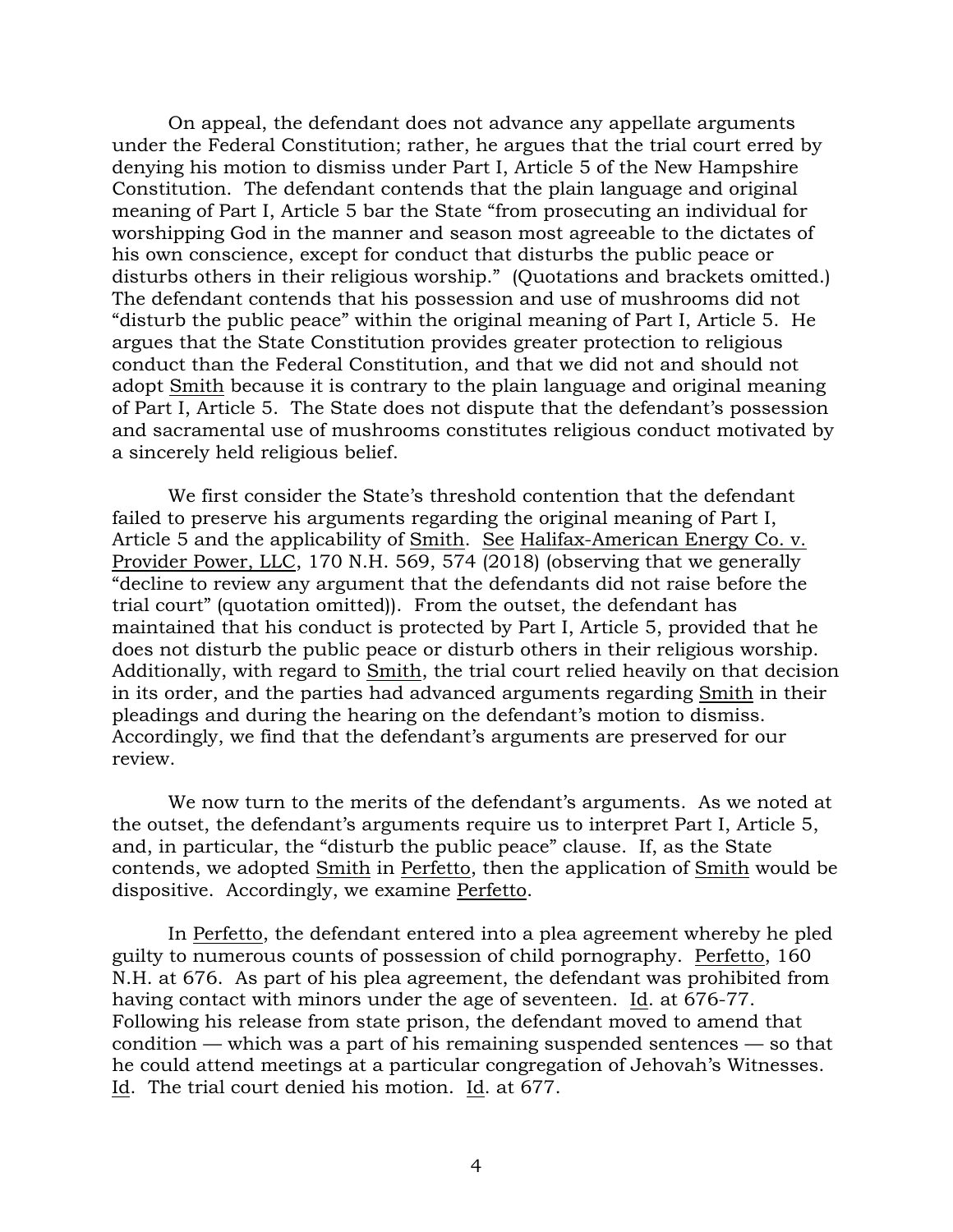On appeal, the defendant does not advance any appellate arguments under the Federal Constitution; rather, he argues that the trial court erred by denying his motion to dismiss under Part I, Article 5 of the New Hampshire Constitution. The defendant contends that the plain language and original meaning of Part I, Article 5 bar the State "from prosecuting an individual for worshipping God in the manner and season most agreeable to the dictates of his own conscience, except for conduct that disturbs the public peace or disturbs others in their religious worship." (Quotations and brackets omitted.) The defendant contends that his possession and use of mushrooms did not "disturb the public peace" within the original meaning of Part I, Article 5. He argues that the State Constitution provides greater protection to religious conduct than the Federal Constitution, and that we did not and should not adopt Smith because it is contrary to the plain language and original meaning of Part I, Article 5. The State does not dispute that the defendant's possession and sacramental use of mushrooms constitutes religious conduct motivated by a sincerely held religious belief.

We first consider the State's threshold contention that the defendant failed to preserve his arguments regarding the original meaning of Part I, Article 5 and the applicability of Smith. See Halifax-American Energy Co. v. Provider Power, LLC, 170 N.H. 569, 574 (2018) (observing that we generally "decline to review any argument that the defendants did not raise before the trial court" (quotation omitted)). From the outset, the defendant has maintained that his conduct is protected by Part I, Article 5, provided that he does not disturb the public peace or disturb others in their religious worship. Additionally, with regard to Smith, the trial court relied heavily on that decision in its order, and the parties had advanced arguments regarding Smith in their pleadings and during the hearing on the defendant's motion to dismiss. Accordingly, we find that the defendant's arguments are preserved for our review.

We now turn to the merits of the defendant's arguments. As we noted at the outset, the defendant's arguments require us to interpret Part I, Article 5, and, in particular, the "disturb the public peace" clause. If, as the State contends, we adopted Smith in Perfetto, then the application of Smith would be dispositive. Accordingly, we examine Perfetto.

In Perfetto, the defendant entered into a plea agreement whereby he pled guilty to numerous counts of possession of child pornography. Perfetto, 160 N.H. at 676. As part of his plea agreement, the defendant was prohibited from having contact with minors under the age of seventeen. Id. at 676-77. Following his release from state prison, the defendant moved to amend that condition — which was a part of his remaining suspended sentences — so that he could attend meetings at a particular congregation of Jehovah's Witnesses. Id. The trial court denied his motion. Id. at 677.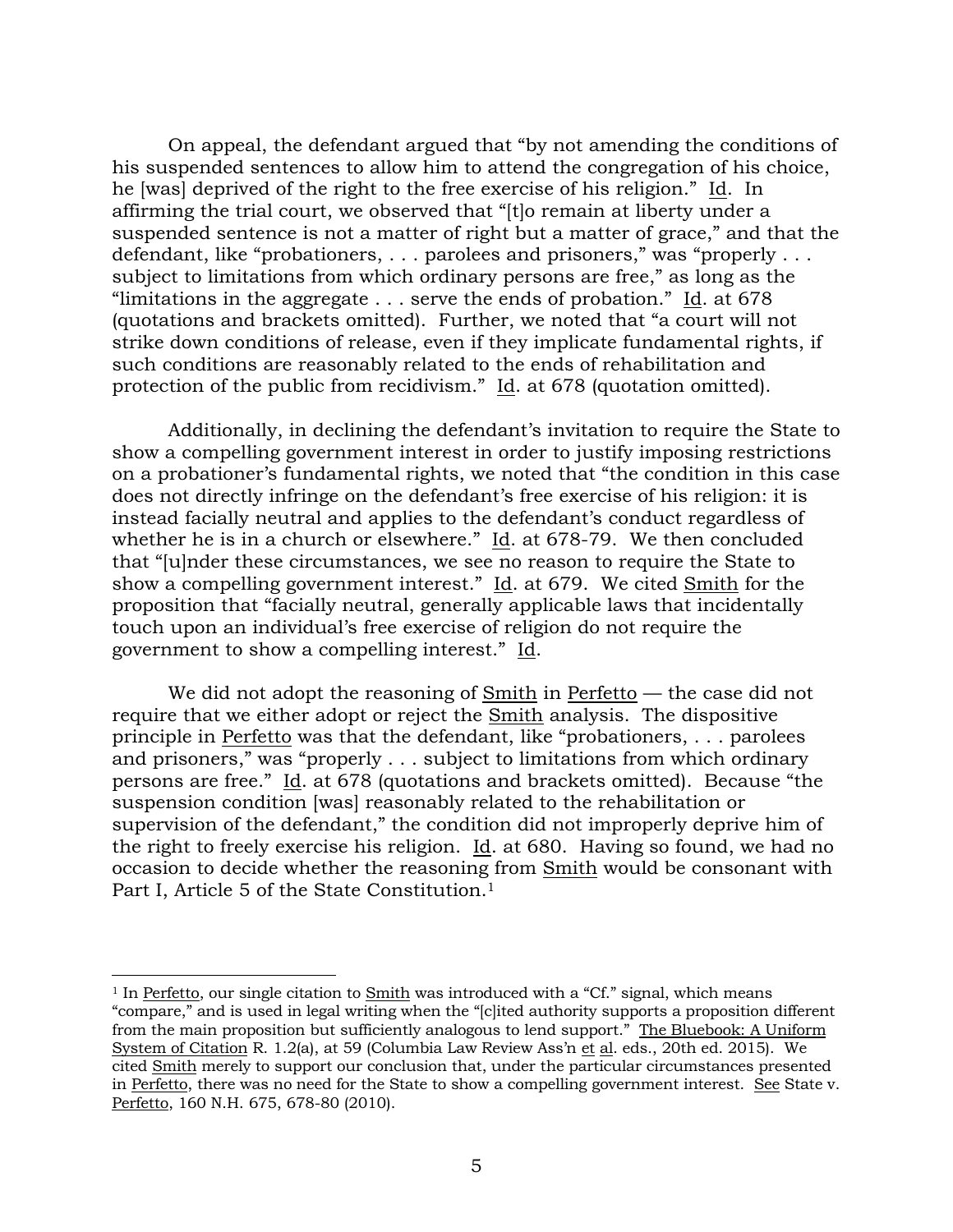On appeal, the defendant argued that "by not amending the conditions of his suspended sentences to allow him to attend the congregation of his choice, he [was] deprived of the right to the free exercise of his religion." Id. In affirming the trial court, we observed that "[t]o remain at liberty under a suspended sentence is not a matter of right but a matter of grace," and that the defendant, like "probationers, . . . parolees and prisoners," was "properly . . . subject to limitations from which ordinary persons are free," as long as the "limitations in the aggregate . . . serve the ends of probation." Id. at 678 (quotations and brackets omitted). Further, we noted that "a court will not strike down conditions of release, even if they implicate fundamental rights, if such conditions are reasonably related to the ends of rehabilitation and protection of the public from recidivism."  $\underline{Id}$ . at 678 (quotation omitted).

Additionally, in declining the defendant's invitation to require the State to show a compelling government interest in order to justify imposing restrictions on a probationer's fundamental rights, we noted that "the condition in this case does not directly infringe on the defendant's free exercise of his religion: it is instead facially neutral and applies to the defendant's conduct regardless of whether he is in a church or elsewhere." Id. at 678-79. We then concluded that "[u]nder these circumstances, we see no reason to require the State to show a compelling government interest." Id. at 679. We cited Smith for the proposition that "facially neutral, generally applicable laws that incidentally touch upon an individual's free exercise of religion do not require the government to show a compelling interest." Id.

We did not adopt the reasoning of Smith in Perfetto — the case did not require that we either adopt or reject the Smith analysis. The dispositive principle in Perfetto was that the defendant, like "probationers, . . . parolees and prisoners," was "properly . . . subject to limitations from which ordinary persons are free." Id. at 678 (quotations and brackets omitted). Because "the suspension condition [was] reasonably related to the rehabilitation or supervision of the defendant," the condition did not improperly deprive him of the right to freely exercise his religion. Id. at 680. Having so found, we had no occasion to decide whether the reasoning from Smith would be consonant with Part I, Article 5 of the State Constitution.<sup>1</sup>

<sup>&</sup>lt;sup>1</sup> In Perfetto, our single citation to **Smith** was introduced with a "Cf." signal, which means "compare," and is used in legal writing when the "[c]ited authority supports a proposition different from the main proposition but sufficiently analogous to lend support." The Bluebook: A Uniform System of Citation R. 1.2(a), at 59 (Columbia Law Review Ass'n et al. eds., 20th ed. 2015). We cited Smith merely to support our conclusion that, under the particular circumstances presented in Perfetto, there was no need for the State to show a compelling government interest. See State v. Perfetto, 160 N.H. 675, 678-80 (2010).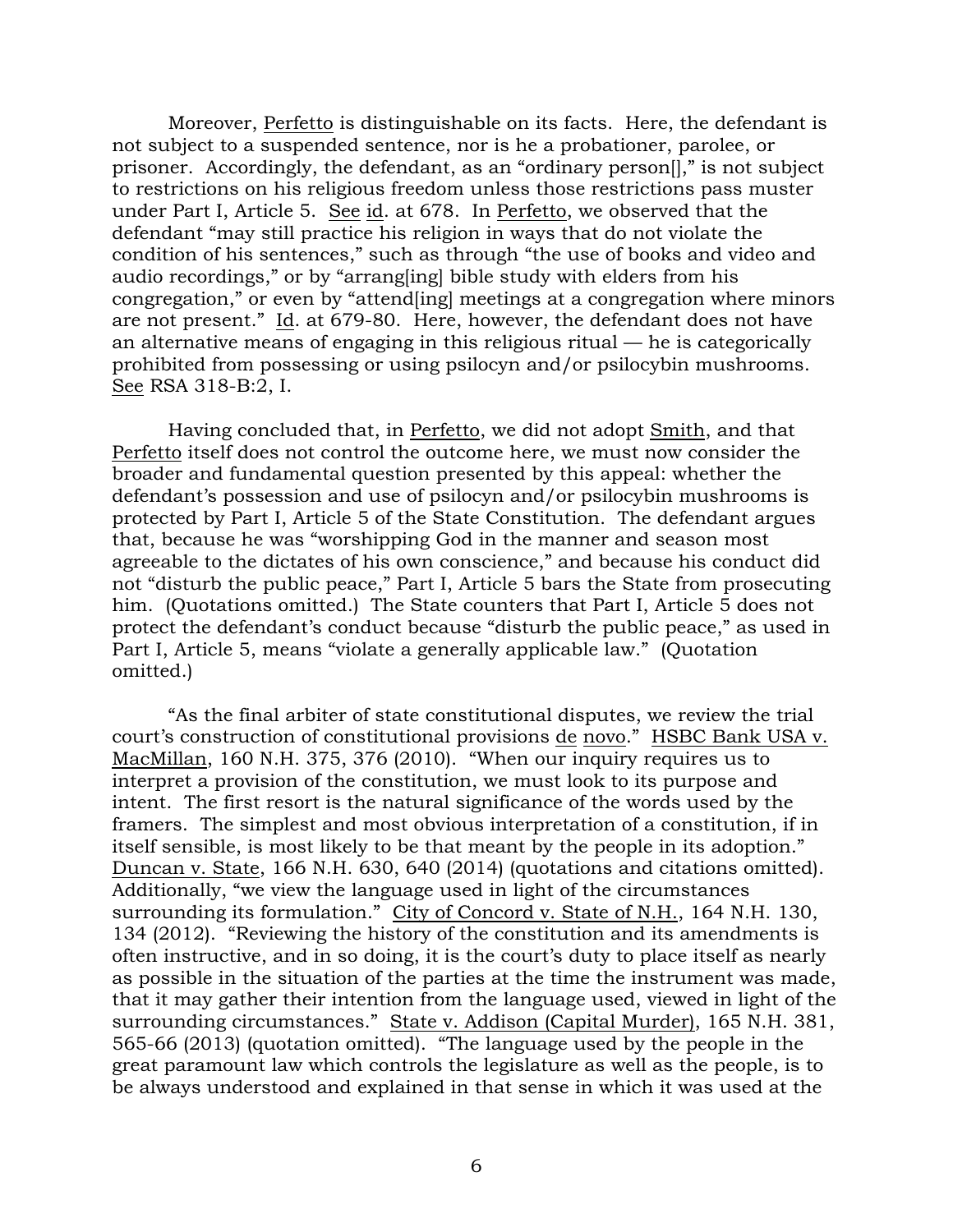Moreover, Perfetto is distinguishable on its facts. Here, the defendant is not subject to a suspended sentence, nor is he a probationer, parolee, or prisoner. Accordingly, the defendant, as an "ordinary person[]," is not subject to restrictions on his religious freedom unless those restrictions pass muster under Part I, Article 5. See id. at 678. In Perfetto, we observed that the defendant "may still practice his religion in ways that do not violate the condition of his sentences," such as through "the use of books and video and audio recordings," or by "arrang[ing] bible study with elders from his congregation," or even by "attend[ing] meetings at a congregation where minors are not present." Id. at 679-80. Here, however, the defendant does not have an alternative means of engaging in this religious ritual — he is categorically prohibited from possessing or using psilocyn and/or psilocybin mushrooms. See RSA 318-B:2, I.

Having concluded that, in Perfetto, we did not adopt Smith, and that Perfetto itself does not control the outcome here, we must now consider the broader and fundamental question presented by this appeal: whether the defendant's possession and use of psilocyn and/or psilocybin mushrooms is protected by Part I, Article 5 of the State Constitution. The defendant argues that, because he was "worshipping God in the manner and season most agreeable to the dictates of his own conscience," and because his conduct did not "disturb the public peace," Part I, Article 5 bars the State from prosecuting him. (Quotations omitted.) The State counters that Part I, Article 5 does not protect the defendant's conduct because "disturb the public peace," as used in Part I, Article 5, means "violate a generally applicable law." (Quotation omitted.)

"As the final arbiter of state constitutional disputes, we review the trial court's construction of constitutional provisions de novo." HSBC Bank USA v. MacMillan, 160 N.H. 375, 376 (2010). "When our inquiry requires us to interpret a provision of the constitution, we must look to its purpose and intent. The first resort is the natural significance of the words used by the framers. The simplest and most obvious interpretation of a constitution, if in itself sensible, is most likely to be that meant by the people in its adoption." Duncan v. State, 166 N.H. 630, 640 (2014) (quotations and citations omitted). Additionally, "we view the language used in light of the circumstances surrounding its formulation." City of Concord v. State of N.H., 164 N.H. 130, 134 (2012). "Reviewing the history of the constitution and its amendments is often instructive, and in so doing, it is the court's duty to place itself as nearly as possible in the situation of the parties at the time the instrument was made, that it may gather their intention from the language used, viewed in light of the surrounding circumstances." State v. Addison (Capital Murder), 165 N.H. 381, 565-66 (2013) (quotation omitted). "The language used by the people in the great paramount law which controls the legislature as well as the people, is to be always understood and explained in that sense in which it was used at the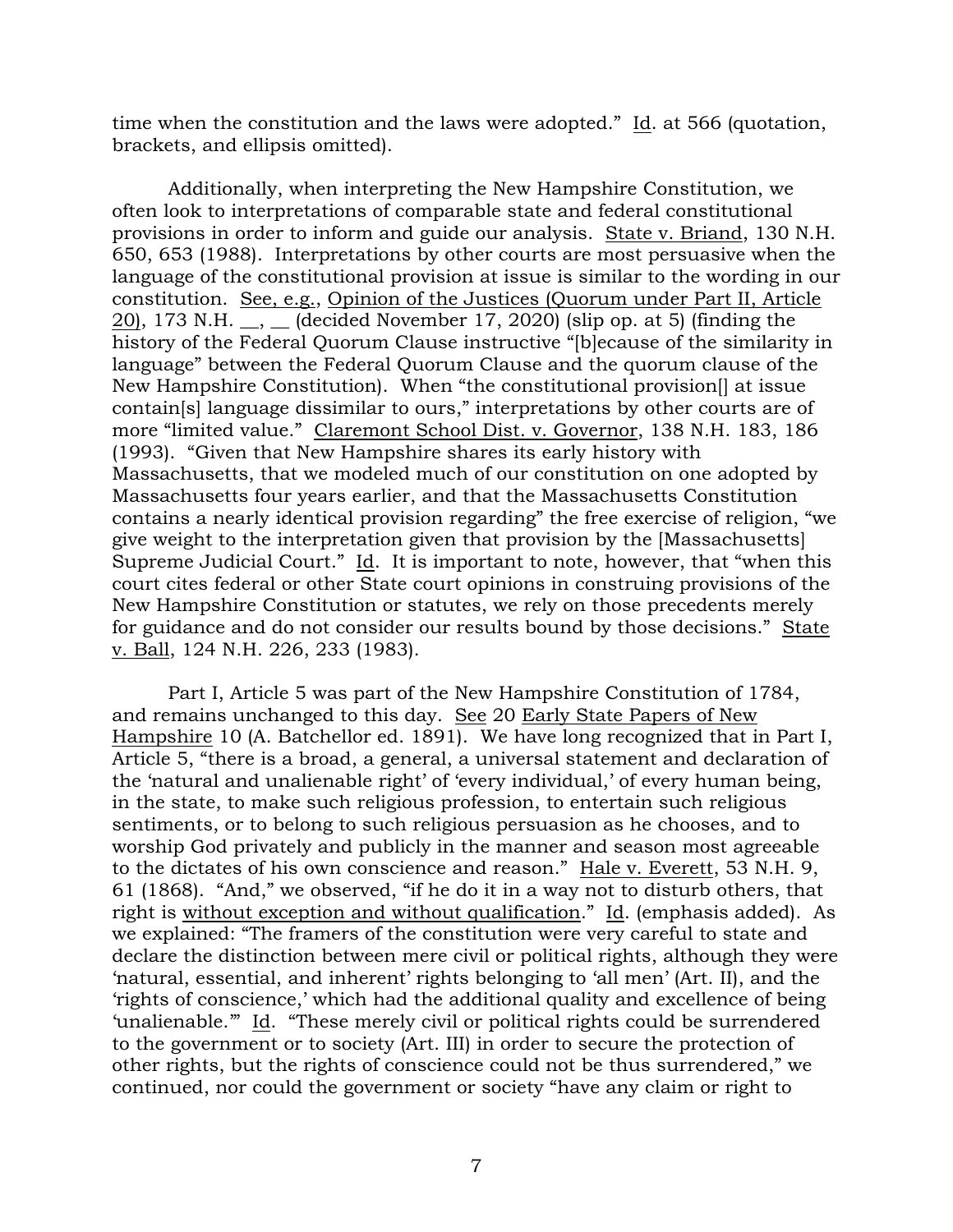time when the constitution and the laws were adopted." Id. at 566 (quotation, brackets, and ellipsis omitted).

Additionally, when interpreting the New Hampshire Constitution, we often look to interpretations of comparable state and federal constitutional provisions in order to inform and guide our analysis. State v. Briand, 130 N.H. 650, 653 (1988). Interpretations by other courts are most persuasive when the language of the constitutional provision at issue is similar to the wording in our constitution. See, e.g., Opinion of the Justices (Quorum under Part II, Article 20), 173 N.H.  $\frac{1}{\sqrt{2}}$  (decided November 17, 2020) (slip op. at 5) (finding the history of the Federal Quorum Clause instructive "[b]ecause of the similarity in language" between the Federal Quorum Clause and the quorum clause of the New Hampshire Constitution). When "the constitutional provision[] at issue contain[s] language dissimilar to ours," interpretations by other courts are of more "limited value." Claremont School Dist. v. Governor, 138 N.H. 183, 186 (1993). "Given that New Hampshire shares its early history with Massachusetts, that we modeled much of our constitution on one adopted by Massachusetts four years earlier, and that the Massachusetts Constitution contains a nearly identical provision regarding" the free exercise of religion, "we give weight to the interpretation given that provision by the [Massachusetts] Supreme Judicial Court." Id. It is important to note, however, that "when this court cites federal or other State court opinions in construing provisions of the New Hampshire Constitution or statutes, we rely on those precedents merely for guidance and do not consider our results bound by those decisions." State v. Ball, 124 N.H. 226, 233 (1983).

Part I, Article 5 was part of the New Hampshire Constitution of 1784, and remains unchanged to this day. See 20 Early State Papers of New Hampshire 10 (A. Batchellor ed. 1891). We have long recognized that in Part I, Article 5, "there is a broad, a general, a universal statement and declaration of the 'natural and unalienable right' of 'every individual,' of every human being, in the state, to make such religious profession, to entertain such religious sentiments, or to belong to such religious persuasion as he chooses, and to worship God privately and publicly in the manner and season most agreeable to the dictates of his own conscience and reason." Hale v. Everett, 53 N.H. 9, 61 (1868). "And," we observed, "if he do it in a way not to disturb others, that right is without exception and without qualification." Id. (emphasis added). As we explained: "The framers of the constitution were very careful to state and declare the distinction between mere civil or political rights, although they were 'natural, essential, and inherent' rights belonging to 'all men' (Art. II), and the 'rights of conscience,' which had the additional quality and excellence of being 'unalienable.'" Id. "These merely civil or political rights could be surrendered to the government or to society (Art. III) in order to secure the protection of other rights, but the rights of conscience could not be thus surrendered," we continued, nor could the government or society "have any claim or right to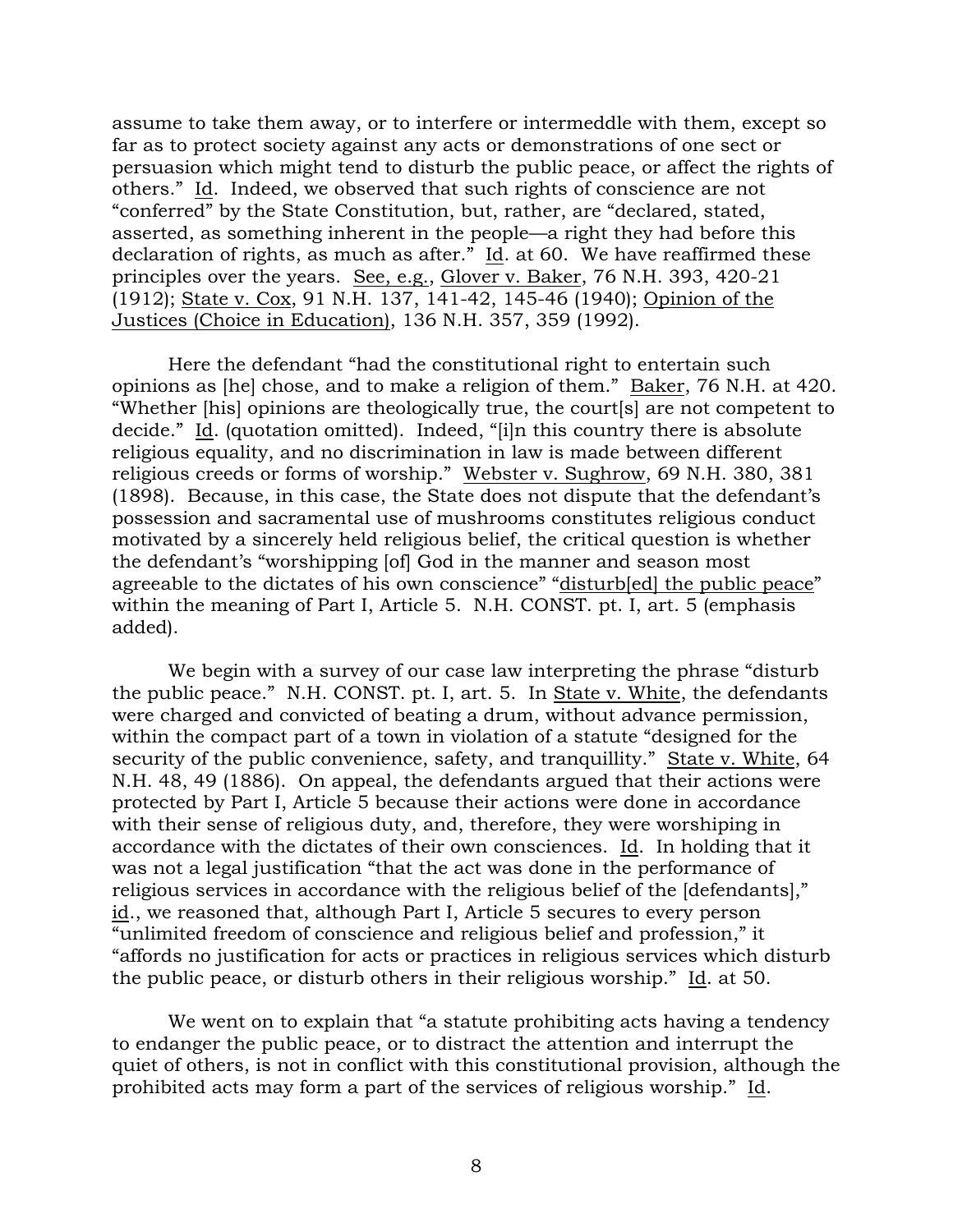assume to take them away, or to interfere or intermeddle with them, except so far as to protect society against any acts or demonstrations of one sect or persuasion which might tend to disturb the public peace, or affect the rights of others." Id. Indeed, we observed that such rights of conscience are not "conferred" by the State Constitution, but, rather, are "declared, stated, asserted, as something inherent in the people—a right they had before this declaration of rights, as much as after."  $\underline{Id}$ . at 60. We have reaffirmed these principles over the years. See, e.g., Glover v. Baker, 76 N.H. 393, 420-21 (1912); State v. Cox, 91 N.H. 137, 141-42, 145-46 (1940); Opinion of the Justices (Choice in Education), 136 N.H. 357, 359 (1992).

Here the defendant "had the constitutional right to entertain such opinions as [he] chose, and to make a religion of them." Baker, 76 N.H. at 420. "Whether [his] opinions are theologically true, the court[s] are not competent to decide." Id. (quotation omitted). Indeed, "[i]n this country there is absolute religious equality, and no discrimination in law is made between different religious creeds or forms of worship." Webster v. Sughrow, 69 N.H. 380, 381 (1898). Because, in this case, the State does not dispute that the defendant's possession and sacramental use of mushrooms constitutes religious conduct motivated by a sincerely held religious belief, the critical question is whether the defendant's "worshipping [of] God in the manner and season most agreeable to the dictates of his own conscience" "disturb[ed] the public peace" within the meaning of Part I, Article 5. N.H. CONST. pt. I, art. 5 (emphasis added).

We begin with a survey of our case law interpreting the phrase "disturb the public peace." N.H. CONST. pt. I, art. 5. In State v. White, the defendants were charged and convicted of beating a drum, without advance permission, within the compact part of a town in violation of a statute "designed for the security of the public convenience, safety, and tranquillity." State v. White, 64 N.H. 48, 49 (1886). On appeal, the defendants argued that their actions were protected by Part I, Article 5 because their actions were done in accordance with their sense of religious duty, and, therefore, they were worshiping in accordance with the dictates of their own consciences. Id. In holding that it was not a legal justification "that the act was done in the performance of religious services in accordance with the religious belief of the [defendants]," id., we reasoned that, although Part I, Article 5 secures to every person "unlimited freedom of conscience and religious belief and profession," it "affords no justification for acts or practices in religious services which disturb the public peace, or disturb others in their religious worship."  $\underline{Id}$ . at 50.

We went on to explain that "a statute prohibiting acts having a tendency to endanger the public peace, or to distract the attention and interrupt the quiet of others, is not in conflict with this constitutional provision, although the prohibited acts may form a part of the services of religious worship." Id.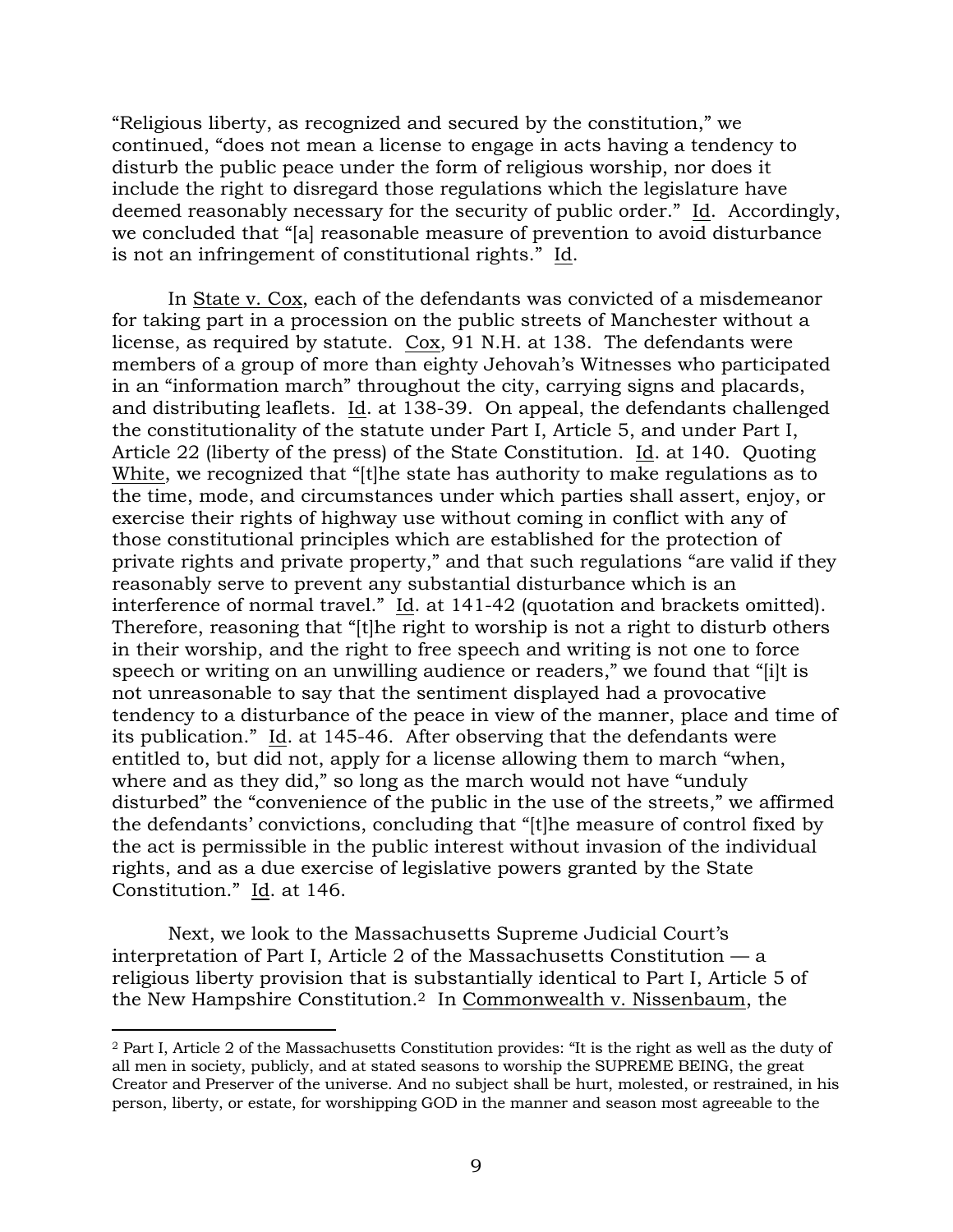"Religious liberty, as recognized and secured by the constitution," we continued, "does not mean a license to engage in acts having a tendency to disturb the public peace under the form of religious worship, nor does it include the right to disregard those regulations which the legislature have deemed reasonably necessary for the security of public order." Id. Accordingly, we concluded that "[a] reasonable measure of prevention to avoid disturbance is not an infringement of constitutional rights." Id.

In State v. Cox, each of the defendants was convicted of a misdemeanor for taking part in a procession on the public streets of Manchester without a license, as required by statute. Cox, 91 N.H. at 138. The defendants were members of a group of more than eighty Jehovah's Witnesses who participated in an "information march" throughout the city, carrying signs and placards, and distributing leaflets. Id. at 138-39. On appeal, the defendants challenged the constitutionality of the statute under Part I, Article 5, and under Part I, Article 22 (liberty of the press) of the State Constitution. Id. at 140. Quoting White, we recognized that "[t]he state has authority to make regulations as to the time, mode, and circumstances under which parties shall assert, enjoy, or exercise their rights of highway use without coming in conflict with any of those constitutional principles which are established for the protection of private rights and private property," and that such regulations "are valid if they reasonably serve to prevent any substantial disturbance which is an interference of normal travel."  $Id.$  at 141-42 (quotation and brackets omitted). Therefore, reasoning that "[t]he right to worship is not a right to disturb others in their worship, and the right to free speech and writing is not one to force speech or writing on an unwilling audience or readers," we found that "[i]t is not unreasonable to say that the sentiment displayed had a provocative tendency to a disturbance of the peace in view of the manner, place and time of its publication." Id. at 145-46. After observing that the defendants were entitled to, but did not, apply for a license allowing them to march "when, where and as they did," so long as the march would not have "unduly" disturbed" the "convenience of the public in the use of the streets," we affirmed the defendants' convictions, concluding that "[t]he measure of control fixed by the act is permissible in the public interest without invasion of the individual rights, and as a due exercise of legislative powers granted by the State Constitution." Id. at 146.

Next, we look to the Massachusetts Supreme Judicial Court's interpretation of Part I, Article 2 of the Massachusetts Constitution — a religious liberty provision that is substantially identical to Part I, Article 5 of the New Hampshire Constitution. <sup>2</sup> In Commonwealth v. Nissenbaum, the

<sup>2</sup> Part I, Article 2 of the Massachusetts Constitution provides: "It is the right as well as the duty of all men in society, publicly, and at stated seasons to worship the SUPREME BEING, the great Creator and Preserver of the universe. And no subject shall be hurt, molested, or restrained, in his person, liberty, or estate, for worshipping GOD in the manner and season most agreeable to the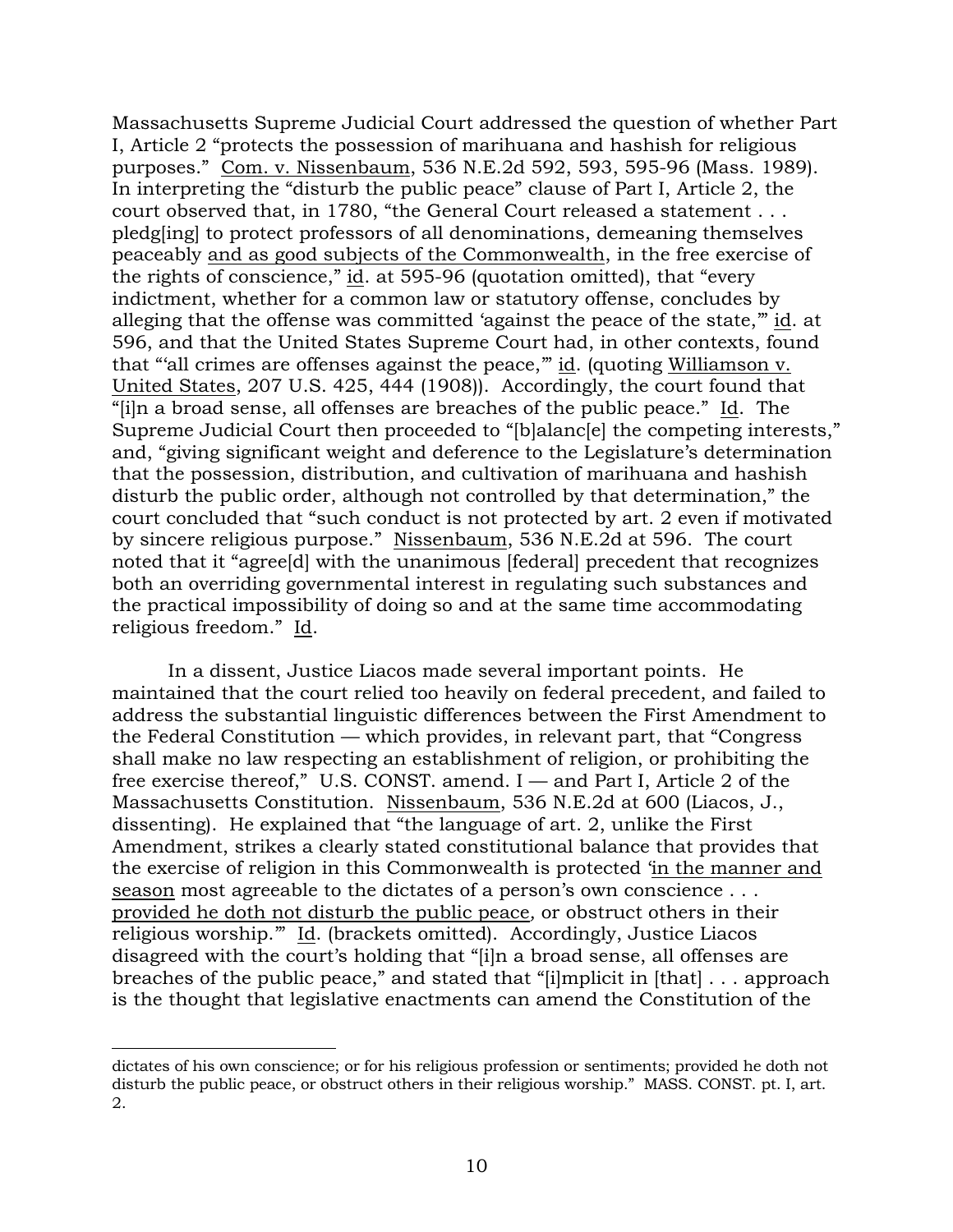Massachusetts Supreme Judicial Court addressed the question of whether Part I, Article 2 "protects the possession of marihuana and hashish for religious purposes." Com. v. Nissenbaum, 536 N.E.2d 592, 593, 595-96 (Mass. 1989). In interpreting the "disturb the public peace" clause of Part I, Article 2, the court observed that, in 1780, "the General Court released a statement . . . pledg[ing] to protect professors of all denominations, demeaning themselves peaceably and as good subjects of the Commonwealth, in the free exercise of the rights of conscience," id. at 595-96 (quotation omitted), that "every indictment, whether for a common law or statutory offense, concludes by alleging that the offense was committed 'against the peace of the state,'" id. at 596, and that the United States Supreme Court had, in other contexts, found that "'all crimes are offenses against the peace," id. (quoting Williamson v. United States, 207 U.S. 425, 444 (1908)). Accordingly, the court found that "[i]n a broad sense, all offenses are breaches of the public peace." Id. The Supreme Judicial Court then proceeded to "[b]alanc[e] the competing interests," and, "giving significant weight and deference to the Legislature's determination that the possession, distribution, and cultivation of marihuana and hashish disturb the public order, although not controlled by that determination," the court concluded that "such conduct is not protected by art. 2 even if motivated by sincere religious purpose." Nissenbaum, 536 N.E.2d at 596. The court noted that it "agree[d] with the unanimous [federal] precedent that recognizes both an overriding governmental interest in regulating such substances and the practical impossibility of doing so and at the same time accommodating religious freedom." Id.

In a dissent, Justice Liacos made several important points. He maintained that the court relied too heavily on federal precedent, and failed to address the substantial linguistic differences between the First Amendment to the Federal Constitution — which provides, in relevant part, that "Congress shall make no law respecting an establishment of religion, or prohibiting the free exercise thereof," U.S. CONST. amend. I — and Part I, Article 2 of the Massachusetts Constitution. Nissenbaum, 536 N.E.2d at 600 (Liacos, J., dissenting). He explained that "the language of art. 2, unlike the First Amendment, strikes a clearly stated constitutional balance that provides that the exercise of religion in this Commonwealth is protected 'in the manner and season most agreeable to the dictates of a person's own conscience . . . provided he doth not disturb the public peace*,* or obstruct others in their religious worship.'" Id. (brackets omitted). Accordingly, Justice Liacos disagreed with the court's holding that "[i]n a broad sense, all offenses are breaches of the public peace," and stated that "[i]mplicit in [that] . . . approach is the thought that legislative enactments can amend the Constitution of the

dictates of his own conscience; or for his religious profession or sentiments; provided he doth not disturb the public peace, or obstruct others in their religious worship." MASS. CONST. pt. I, art. 2.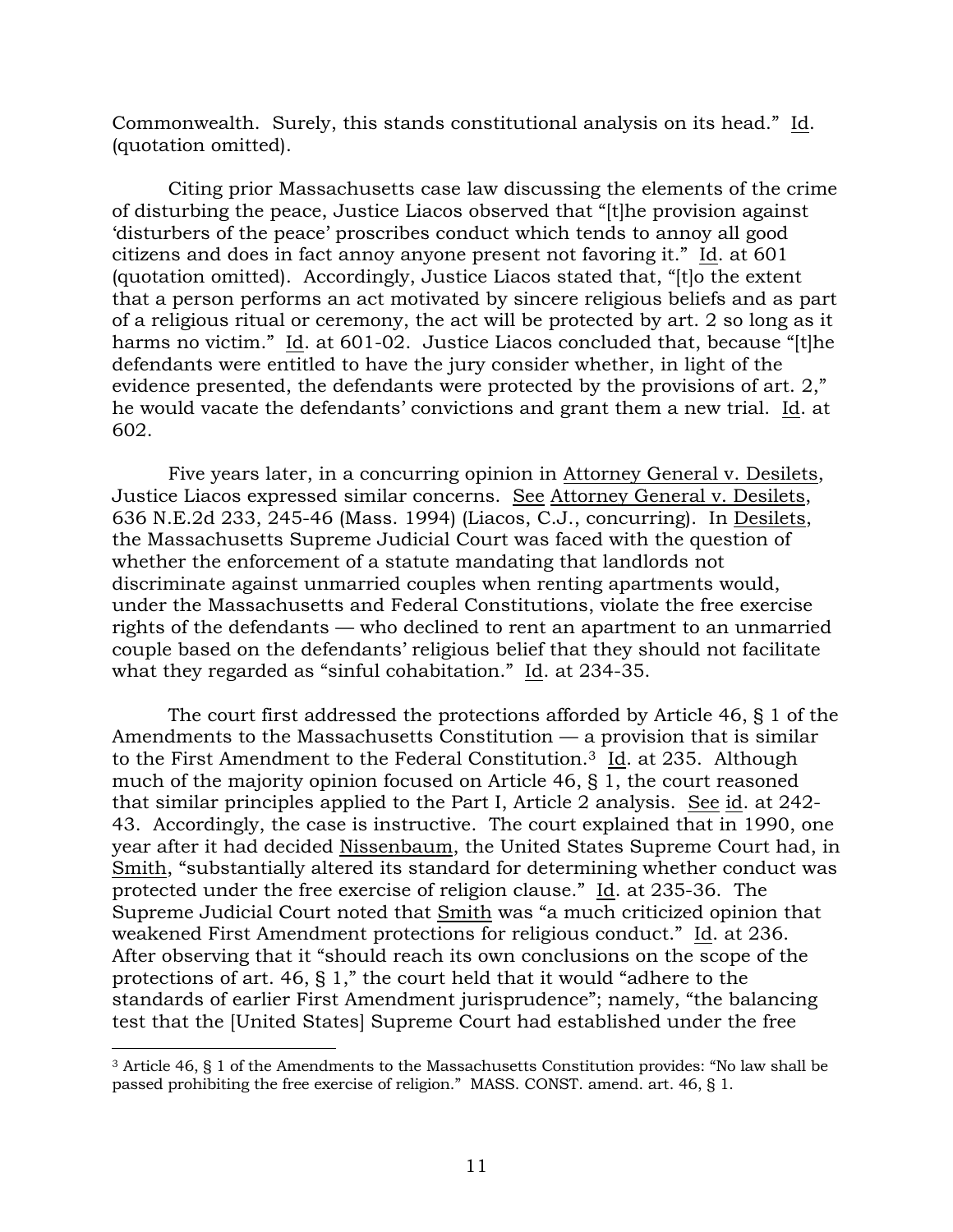Commonwealth. Surely, this stands constitutional analysis on its head." Id. (quotation omitted).

Citing prior Massachusetts case law discussing the elements of the crime of disturbing the peace, Justice Liacos observed that "[t]he provision against 'disturbers of the peace' proscribes conduct which tends to annoy all good citizens and does in fact annoy anyone present not favoring it." Id. at 601 (quotation omitted). Accordingly, Justice Liacos stated that, "[t]o the extent that a person performs an act motivated by sincere religious beliefs and as part of a religious ritual or ceremony, the act will be protected by art. 2 so long as it harms no victim." Id. at 601-02. Justice Liacos concluded that, because "[t]he defendants were entitled to have the jury consider whether, in light of the evidence presented, the defendants were protected by the provisions of art. 2," he would vacate the defendants' convictions and grant them a new trial. Id. at 602.

Five years later, in a concurring opinion in Attorney General v. Desilets, Justice Liacos expressed similar concerns. See Attorney General v. Desilets, 636 N.E.2d 233, 245-46 (Mass. 1994) (Liacos, C.J., concurring). In Desilets, the Massachusetts Supreme Judicial Court was faced with the question of whether the enforcement of a statute mandating that landlords not discriminate against unmarried couples when renting apartments would, under the Massachusetts and Federal Constitutions, violate the free exercise rights of the defendants — who declined to rent an apartment to an unmarried couple based on the defendants' religious belief that they should not facilitate what they regarded as "sinful cohabitation." Id. at 234-35.

The court first addressed the protections afforded by Article 46, § 1 of the Amendments to the Massachusetts Constitution — a provision that is similar to the First Amendment to the Federal Constitution.<sup>3</sup> Id. at 235. Although much of the majority opinion focused on Article 46, § 1, the court reasoned that similar principles applied to the Part I, Article 2 analysis. See id. at 242- 43. Accordingly, the case is instructive. The court explained that in 1990, one year after it had decided Nissenbaum, the United States Supreme Court had, in Smith, "substantially altered its standard for determining whether conduct was protected under the free exercise of religion clause." Id. at 235-36. The Supreme Judicial Court noted that Smith was "a much criticized opinion that weakened First Amendment protections for religious conduct." Id. at 236. After observing that it "should reach its own conclusions on the scope of the protections of art. 46, § 1," the court held that it would "adhere to the standards of earlier First Amendment jurisprudence"; namely, "the balancing test that the [United States] Supreme Court had established under the free

<sup>3</sup> Article 46, § 1 of the Amendments to the Massachusetts Constitution provides: "No law shall be passed prohibiting the free exercise of religion." MASS. CONST. amend. art. 46, § 1.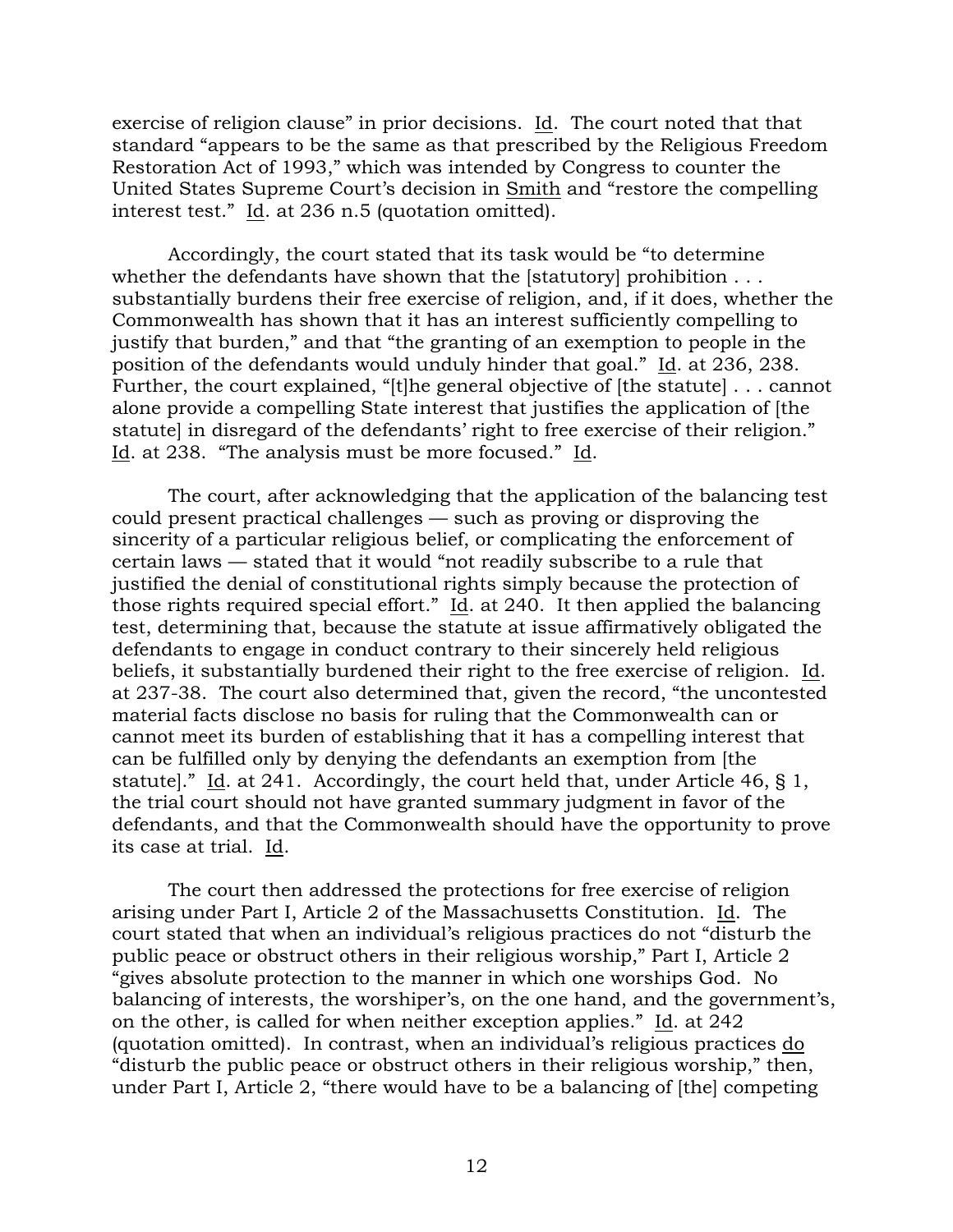exercise of religion clause" in prior decisions. Id. The court noted that that standard "appears to be the same as that prescribed by the Religious Freedom Restoration Act of 1993," which was intended by Congress to counter the United States Supreme Court's decision in Smith and "restore the compelling interest test." Id. at 236 n.5 (quotation omitted).

Accordingly, the court stated that its task would be "to determine whether the defendants have shown that the [statutory] prohibition . . . substantially burdens their free exercise of religion, and, if it does, whether the Commonwealth has shown that it has an interest sufficiently compelling to justify that burden," and that "the granting of an exemption to people in the position of the defendants would unduly hinder that goal." Id. at 236, 238. Further, the court explained, "[t]he general objective of [the statute] . . . cannot alone provide a compelling State interest that justifies the application of [the statute] in disregard of the defendants' right to free exercise of their religion." Id. at 238. "The analysis must be more focused." Id.

The court, after acknowledging that the application of the balancing test could present practical challenges — such as proving or disproving the sincerity of a particular religious belief, or complicating the enforcement of certain laws — stated that it would "not readily subscribe to a rule that justified the denial of constitutional rights simply because the protection of those rights required special effort." Id. at 240. It then applied the balancing test, determining that, because the statute at issue affirmatively obligated the defendants to engage in conduct contrary to their sincerely held religious beliefs, it substantially burdened their right to the free exercise of religion. Id. at 237-38. The court also determined that, given the record, "the uncontested material facts disclose no basis for ruling that the Commonwealth can or cannot meet its burden of establishing that it has a compelling interest that can be fulfilled only by denying the defendants an exemption from [the statute]." Id. at 241. Accordingly, the court held that, under Article 46, § 1, the trial court should not have granted summary judgment in favor of the defendants, and that the Commonwealth should have the opportunity to prove its case at trial. Id.

The court then addressed the protections for free exercise of religion arising under Part I, Article 2 of the Massachusetts Constitution. Id. The court stated that when an individual's religious practices do not "disturb the public peace or obstruct others in their religious worship," Part I, Article 2 "gives absolute protection to the manner in which one worships God. No balancing of interests, the worshiper's, on the one hand, and the government's, on the other, is called for when neither exception applies." Id. at 242 (quotation omitted). In contrast, when an individual's religious practices do "disturb the public peace or obstruct others in their religious worship," then, under Part I, Article 2, "there would have to be a balancing of [the] competing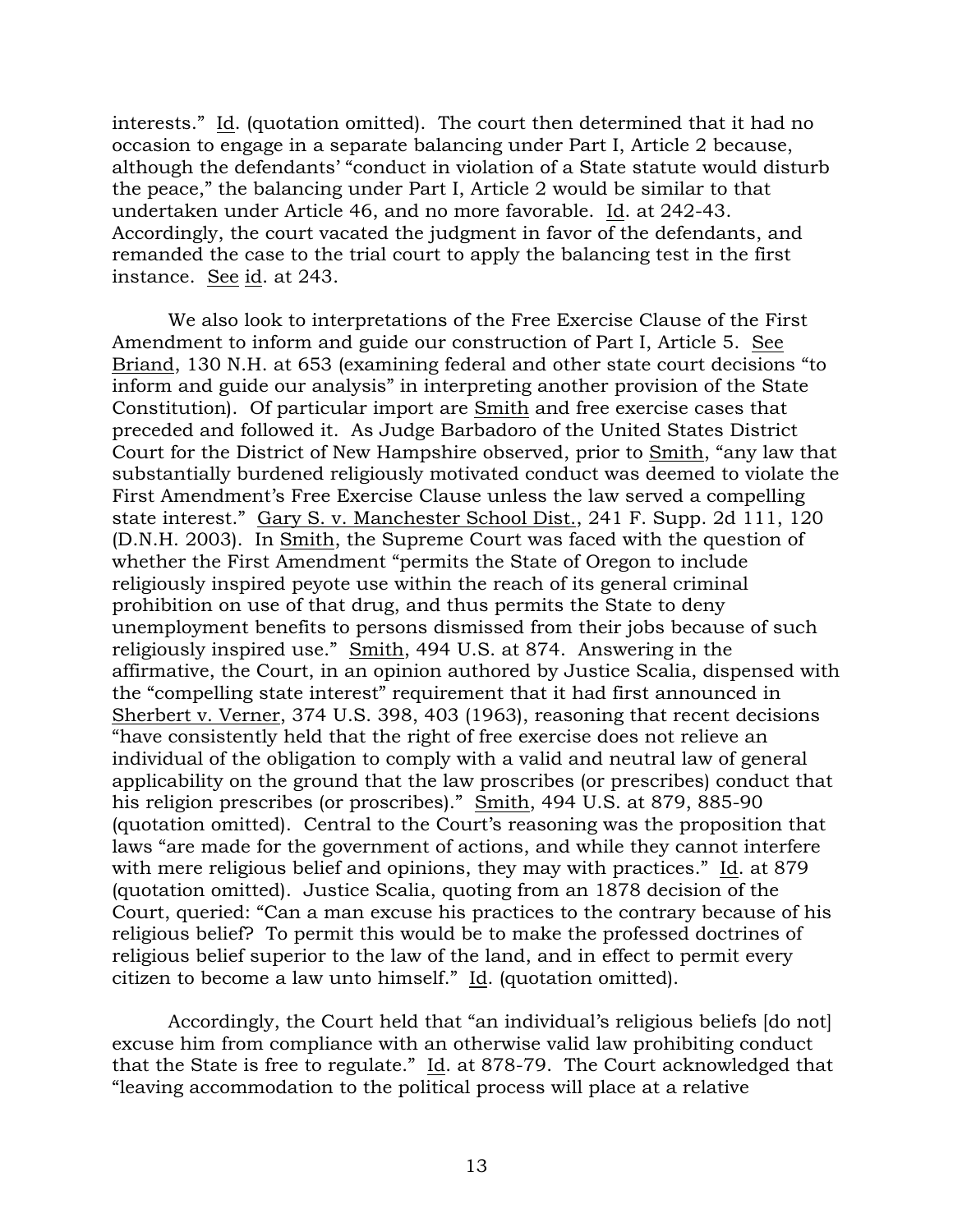interests." Id. (quotation omitted). The court then determined that it had no occasion to engage in a separate balancing under Part I, Article 2 because, although the defendants' "conduct in violation of a State statute would disturb the peace," the balancing under Part I, Article 2 would be similar to that undertaken under Article 46, and no more favorable. Id. at 242-43. Accordingly, the court vacated the judgment in favor of the defendants, and remanded the case to the trial court to apply the balancing test in the first instance. See id. at 243.

We also look to interpretations of the Free Exercise Clause of the First Amendment to inform and guide our construction of Part I, Article 5. See Briand, 130 N.H. at 653 (examining federal and other state court decisions "to inform and guide our analysis" in interpreting another provision of the State Constitution). Of particular import are Smith and free exercise cases that preceded and followed it. As Judge Barbadoro of the United States District Court for the District of New Hampshire observed, prior to Smith, "any law that substantially burdened religiously motivated conduct was deemed to violate the First Amendment's Free Exercise Clause unless the law served a compelling state interest." Gary S. v. Manchester School Dist., 241 F. Supp. 2d 111, 120 (D.N.H. 2003). In Smith, the Supreme Court was faced with the question of whether the First Amendment "permits the State of Oregon to include religiously inspired peyote use within the reach of its general criminal prohibition on use of that drug, and thus permits the State to deny unemployment benefits to persons dismissed from their jobs because of such religiously inspired use." Smith, 494 U.S. at 874. Answering in the affirmative, the Court, in an opinion authored by Justice Scalia, dispensed with the "compelling state interest" requirement that it had first announced in Sherbert v. Verner, 374 U.S. 398, 403 (1963), reasoning that recent decisions "have consistently held that the right of free exercise does not relieve an individual of the obligation to comply with a valid and neutral law of general applicability on the ground that the law proscribes (or prescribes) conduct that his religion prescribes (or proscribes)." Smith, 494 U.S. at 879, 885-90 (quotation omitted). Central to the Court's reasoning was the proposition that laws "are made for the government of actions, and while they cannot interfere with mere religious belief and opinions, they may with practices." Id. at 879 (quotation omitted). Justice Scalia, quoting from an 1878 decision of the Court, queried: "Can a man excuse his practices to the contrary because of his religious belief? To permit this would be to make the professed doctrines of religious belief superior to the law of the land, and in effect to permit every citizen to become a law unto himself." Id. (quotation omitted).

Accordingly, the Court held that "an individual's religious beliefs [do not] excuse him from compliance with an otherwise valid law prohibiting conduct that the State is free to regulate." Id. at 878-79. The Court acknowledged that "leaving accommodation to the political process will place at a relative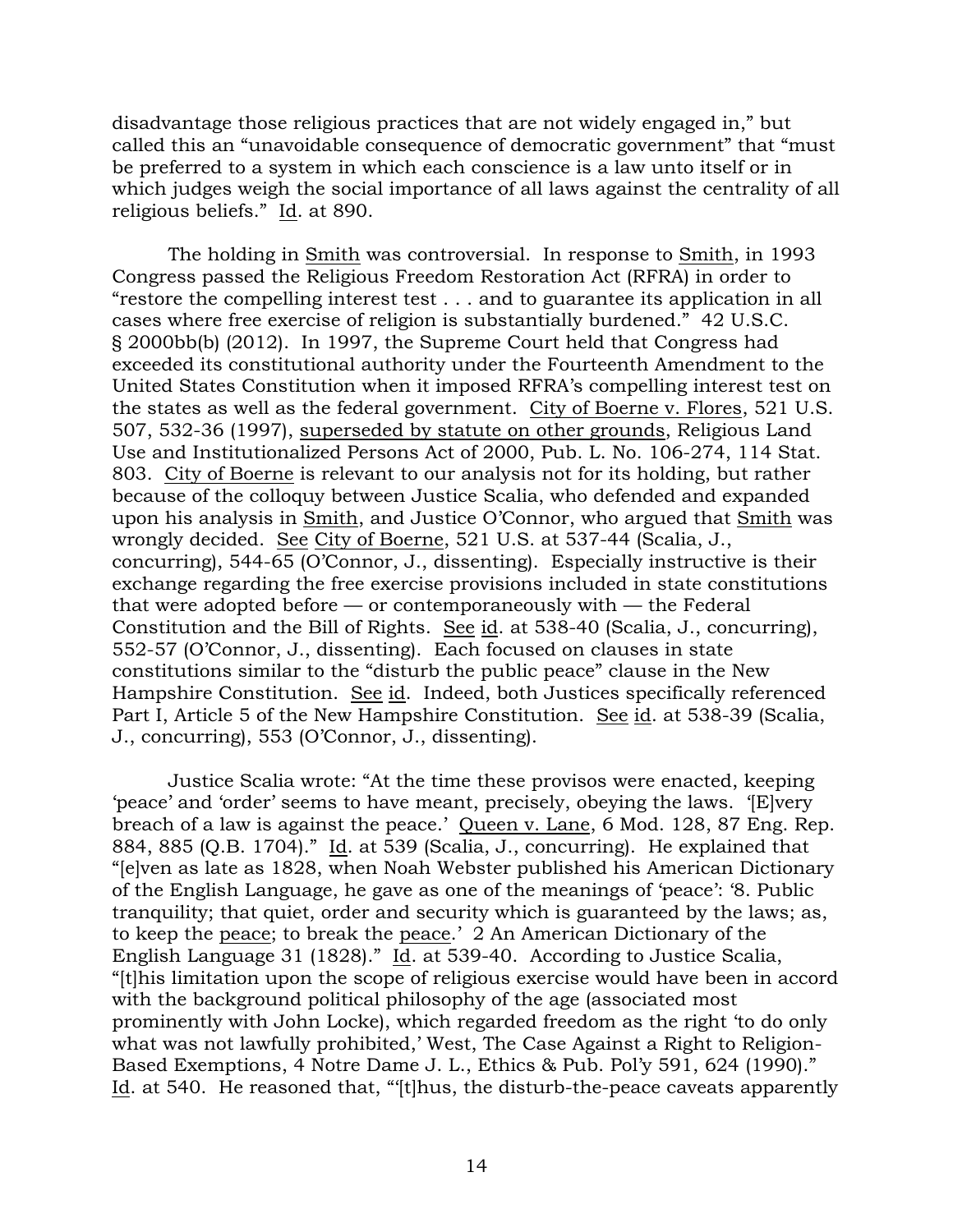disadvantage those religious practices that are not widely engaged in," but called this an "unavoidable consequence of democratic government" that "must be preferred to a system in which each conscience is a law unto itself or in which judges weigh the social importance of all laws against the centrality of all religious beliefs." Id. at 890.

The holding in Smith was controversial. In response to Smith, in 1993 Congress passed the Religious Freedom Restoration Act (RFRA) in order to "restore the compelling interest test . . . and to guarantee its application in all cases where free exercise of religion is substantially burdened." 42 U.S.C. § 2000bb(b) (2012). In 1997, the Supreme Court held that Congress had exceeded its constitutional authority under the Fourteenth Amendment to the United States Constitution when it imposed RFRA's compelling interest test on the states as well as the federal government. City of Boerne v. Flores, 521 U.S. 507, 532-36 (1997), superseded by statute on other grounds, Religious Land Use and Institutionalized Persons Act of 2000, Pub. L. No. 106-274, 114 Stat. 803. City of Boerne is relevant to our analysis not for its holding, but rather because of the colloquy between Justice Scalia, who defended and expanded upon his analysis in Smith, and Justice O'Connor, who argued that Smith was wrongly decided. See City of Boerne, 521 U.S. at 537-44 (Scalia, J., concurring), 544-65 (O'Connor, J., dissenting). Especially instructive is their exchange regarding the free exercise provisions included in state constitutions that were adopted before — or contemporaneously with — the Federal Constitution and the Bill of Rights. See id. at 538-40 (Scalia, J., concurring), 552-57 (O'Connor, J., dissenting). Each focused on clauses in state constitutions similar to the "disturb the public peace" clause in the New Hampshire Constitution. See id. Indeed, both Justices specifically referenced Part I, Article 5 of the New Hampshire Constitution. See id. at 538-39 (Scalia, J., concurring), 553 (O'Connor, J., dissenting).

Justice Scalia wrote: "At the time these provisos were enacted, keeping 'peace' and 'order' seems to have meant, precisely, obeying the laws. '[E]very breach of a law is against the peace.' Queen v. Lane, 6 Mod. 128, 87 Eng. Rep. 884, 885 (Q.B. 1704)." Id. at 539 (Scalia, J., concurring). He explained that "[e]ven as late as 1828, when Noah Webster published his American Dictionary of the English Language, he gave as one of the meanings of 'peace': '8. Public tranquility; that quiet, order and security which is guaranteed by the laws; as, to keep the peace; to break the peace.' 2 An American Dictionary of the English Language 31 (1828)." Id. at 539-40. According to Justice Scalia, "[t]his limitation upon the scope of religious exercise would have been in accord with the background political philosophy of the age (associated most prominently with John Locke), which regarded freedom as the right 'to do only what was not lawfully prohibited,' West, The Case Against a Right to Religion-Based Exemptions, 4 Notre Dame J. L., Ethics & Pub. Pol'y 591, 624 (1990)." Id. at 540. He reasoned that, "'[t]hus, the disturb-the-peace caveats apparently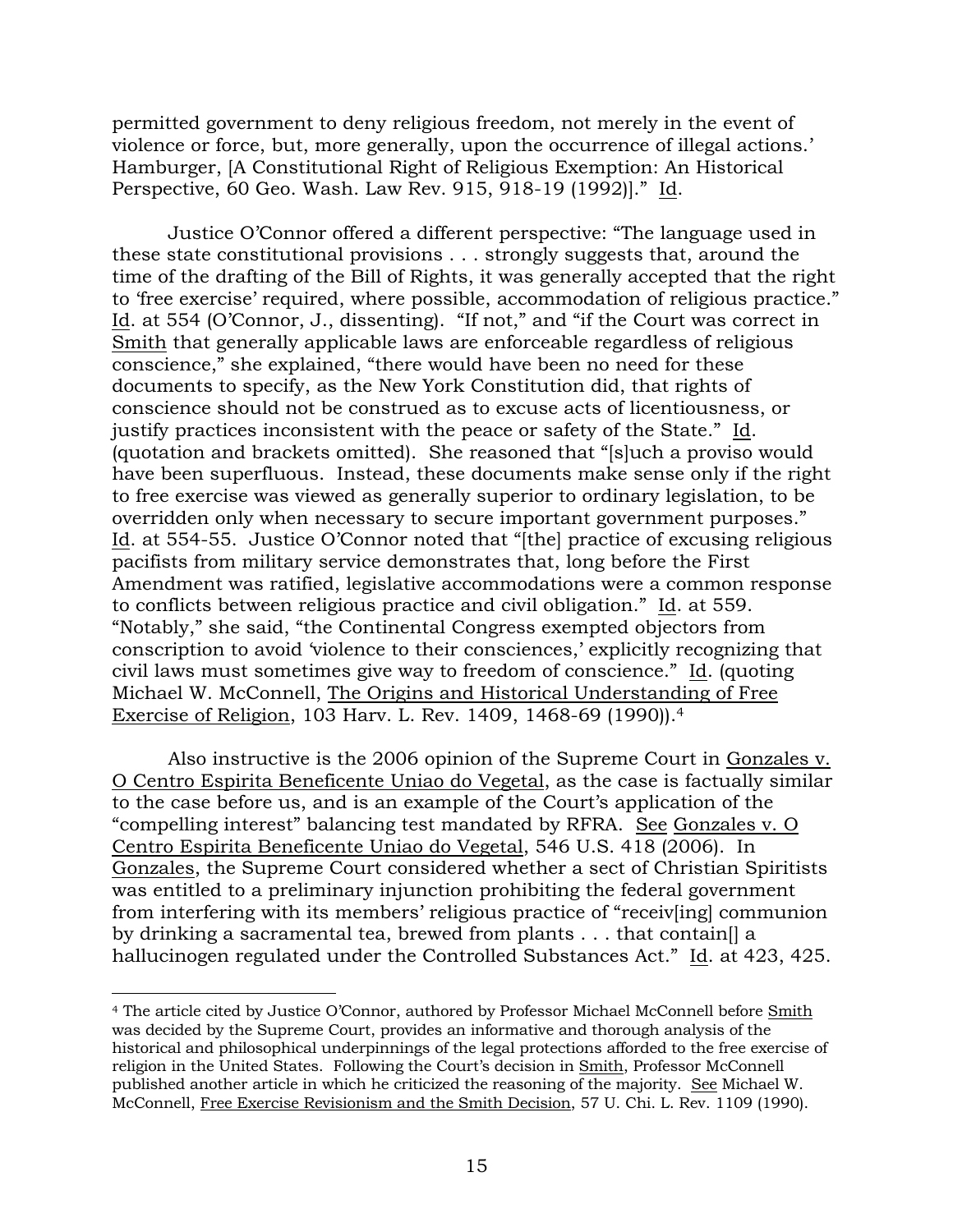permitted government to deny religious freedom, not merely in the event of violence or force, but, more generally, upon the occurrence of illegal actions.' Hamburger, [A Constitutional Right of Religious Exemption: An Historical Perspective, 60 Geo. Wash. Law Rev. 915, 918-19 (1992)]." Id.

Justice O'Connor offered a different perspective: "The language used in these state constitutional provisions . . . strongly suggests that, around the time of the drafting of the Bill of Rights, it was generally accepted that the right to 'free exercise' required, where possible, accommodation of religious practice." Id. at 554 (O'Connor, J., dissenting). "If not," and "if the Court was correct in Smith that generally applicable laws are enforceable regardless of religious conscience," she explained, "there would have been no need for these documents to specify, as the New York Constitution did, that rights of conscience should not be construed as to excuse acts of licentiousness, or justify practices inconsistent with the peace or safety of the State." Id. (quotation and brackets omitted). She reasoned that "[s]uch a proviso would have been superfluous. Instead, these documents make sense only if the right to free exercise was viewed as generally superior to ordinary legislation, to be overridden only when necessary to secure important government purposes." Id. at 554-55. Justice O'Connor noted that "[the] practice of excusing religious pacifists from military service demonstrates that, long before the First Amendment was ratified, legislative accommodations were a common response to conflicts between religious practice and civil obligation." Id. at 559. "Notably," she said, "the Continental Congress exempted objectors from conscription to avoid 'violence to their consciences,' explicitly recognizing that civil laws must sometimes give way to freedom of conscience." Id. (quoting Michael W. McConnell, The Origins and Historical Understanding of Free Exercise of Religion, 103 Harv. L. Rev. 1409, 1468-69 (1990)). 4

Also instructive is the 2006 opinion of the Supreme Court in Gonzales v. O Centro Espirita Beneficente Uniao do Vegetal, as the case is factually similar to the case before us, and is an example of the Court's application of the "compelling interest" balancing test mandated by RFRA. See Gonzales v. O Centro Espirita Beneficente Uniao do Vegetal, 546 U.S. 418 (2006). In Gonzales, the Supreme Court considered whether a sect of Christian Spiritists was entitled to a preliminary injunction prohibiting the federal government from interfering with its members' religious practice of "receiv[ing] communion by drinking a sacramental tea, brewed from plants . . . that contain[] a hallucinogen regulated under the Controlled Substances Act." Id. at 423, 425.

<sup>4</sup> The article cited by Justice O'Connor, authored by Professor Michael McConnell before Smith was decided by the Supreme Court, provides an informative and thorough analysis of the historical and philosophical underpinnings of the legal protections afforded to the free exercise of religion in the United States. Following the Court's decision in Smith, Professor McConnell published another article in which he criticized the reasoning of the majority. See Michael W. McConnell, Free Exercise Revisionism and the Smith Decision, 57 U. Chi. L. Rev. 1109 (1990).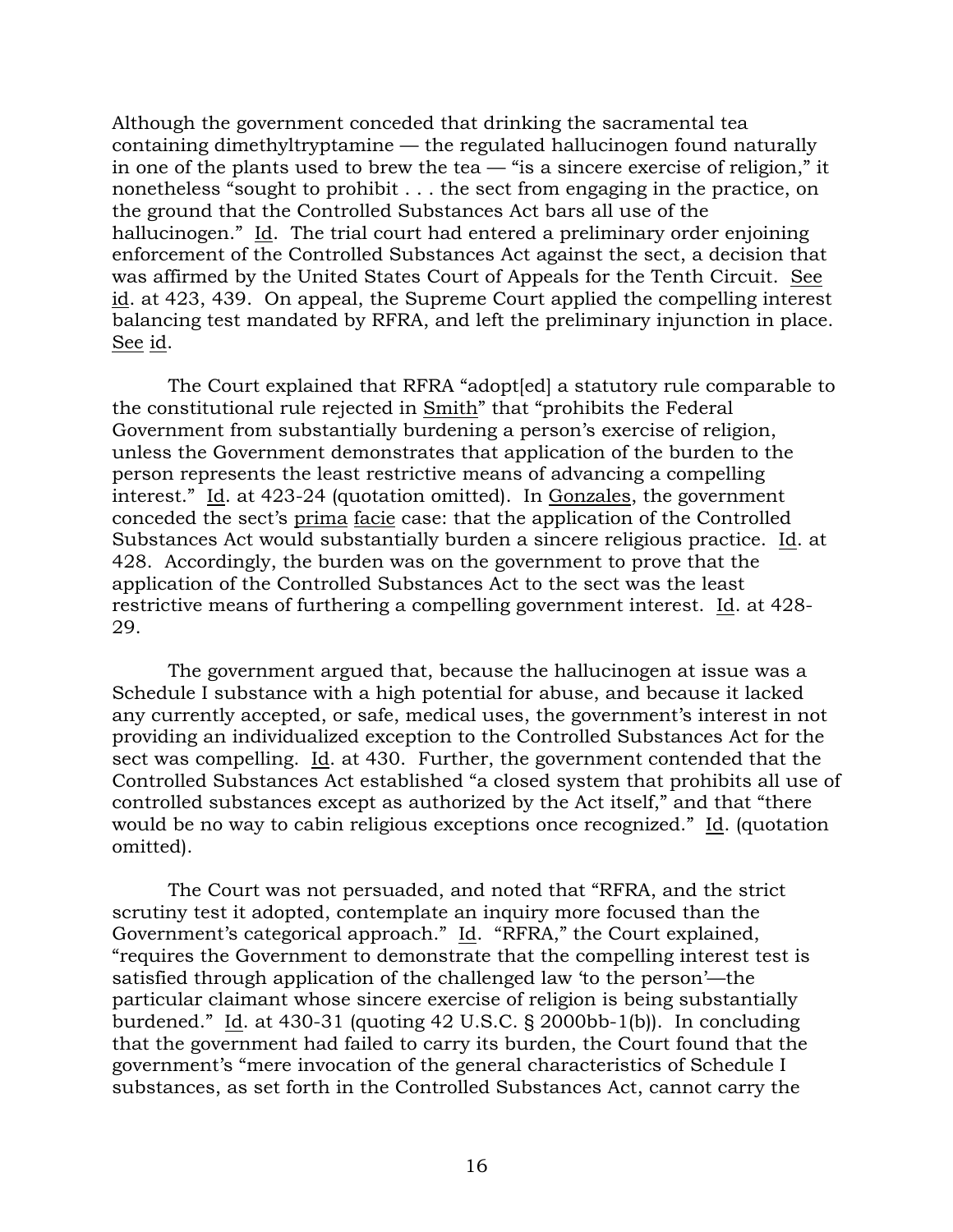Although the government conceded that drinking the sacramental tea containing dimethyltryptamine — the regulated hallucinogen found naturally in one of the plants used to brew the tea — "is a sincere exercise of religion," it nonetheless "sought to prohibit . . . the sect from engaging in the practice, on the ground that the Controlled Substances Act bars all use of the hallucinogen." Id. The trial court had entered a preliminary order enjoining enforcement of the Controlled Substances Act against the sect, a decision that was affirmed by the United States Court of Appeals for the Tenth Circuit. See id. at 423, 439. On appeal, the Supreme Court applied the compelling interest balancing test mandated by RFRA, and left the preliminary injunction in place. See id.

The Court explained that RFRA "adopt[ed] a statutory rule comparable to the constitutional rule rejected in Smith" that "prohibits the Federal Government from substantially burdening a person's exercise of religion, unless the Government demonstrates that application of the burden to the person represents the least restrictive means of advancing a compelling interest." Id. at 423-24 (quotation omitted). In Gonzales, the government conceded the sect's prima facie case: that the application of the Controlled Substances Act would substantially burden a sincere religious practice. Id. at 428. Accordingly, the burden was on the government to prove that the application of the Controlled Substances Act to the sect was the least restrictive means of furthering a compelling government interest. Id. at 428- 29.

The government argued that, because the hallucinogen at issue was a Schedule I substance with a high potential for abuse, and because it lacked any currently accepted, or safe, medical uses, the government's interest in not providing an individualized exception to the Controlled Substances Act for the sect was compelling. Id. at 430. Further, the government contended that the Controlled Substances Act established "a closed system that prohibits all use of controlled substances except as authorized by the Act itself," and that "there would be no way to cabin religious exceptions once recognized." Id. (quotation omitted).

The Court was not persuaded, and noted that "RFRA, and the strict scrutiny test it adopted, contemplate an inquiry more focused than the Government's categorical approach." Id. "RFRA," the Court explained, "requires the Government to demonstrate that the compelling interest test is satisfied through application of the challenged law 'to the person'—the particular claimant whose sincere exercise of religion is being substantially burdened." Id. at 430-31 (quoting 42 U.S.C. § 2000bb-1(b)). In concluding that the government had failed to carry its burden, the Court found that the government's "mere invocation of the general characteristics of Schedule I substances, as set forth in the Controlled Substances Act, cannot carry the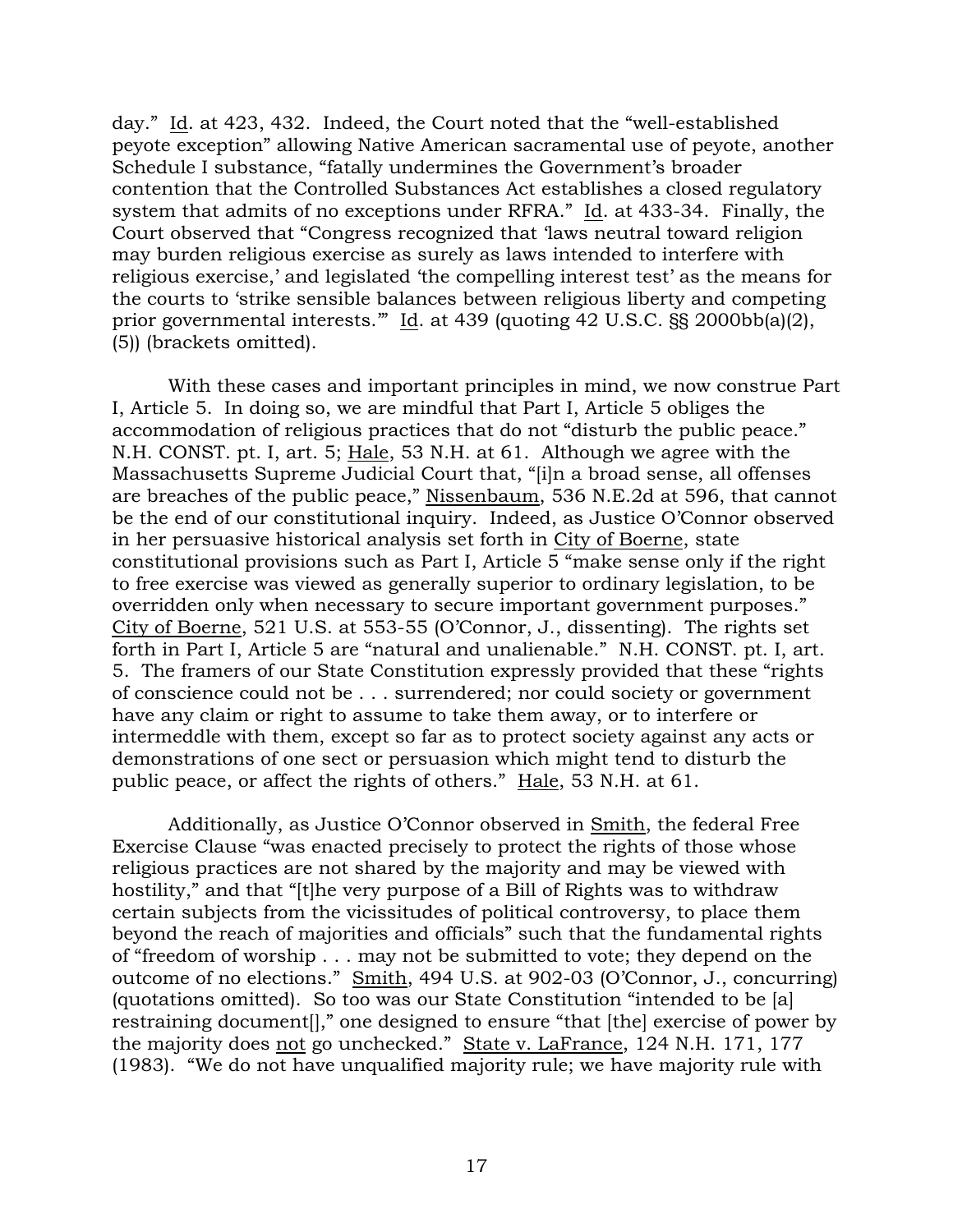day." Id. at 423, 432. Indeed, the Court noted that the "well-established peyote exception" allowing Native American sacramental use of peyote, another Schedule I substance, "fatally undermines the Government's broader contention that the Controlled Substances Act establishes a closed regulatory system that admits of no exceptions under RFRA." Id. at 433-34. Finally, the Court observed that "Congress recognized that 'laws neutral toward religion may burden religious exercise as surely as laws intended to interfere with religious exercise,' and legislated 'the compelling interest test' as the means for the courts to 'strike sensible balances between religious liberty and competing prior governmental interests." Id. at 439 (quoting 42 U.S.C. §§ 2000bb(a)(2), (5)) (brackets omitted).

With these cases and important principles in mind, we now construe Part I, Article 5. In doing so, we are mindful that Part I, Article 5 obliges the accommodation of religious practices that do not "disturb the public peace." N.H. CONST. pt. I, art. 5; Hale, 53 N.H. at 61. Although we agree with the Massachusetts Supreme Judicial Court that, "[i]n a broad sense, all offenses are breaches of the public peace," Nissenbaum, 536 N.E.2d at 596, that cannot be the end of our constitutional inquiry. Indeed, as Justice O'Connor observed in her persuasive historical analysis set forth in City of Boerne, state constitutional provisions such as Part I, Article 5 "make sense only if the right to free exercise was viewed as generally superior to ordinary legislation, to be overridden only when necessary to secure important government purposes." City of Boerne, 521 U.S. at 553-55 (O'Connor, J., dissenting). The rights set forth in Part I, Article 5 are "natural and unalienable." N.H. CONST. pt. I, art. 5. The framers of our State Constitution expressly provided that these "rights of conscience could not be . . . surrendered; nor could society or government have any claim or right to assume to take them away, or to interfere or intermeddle with them, except so far as to protect society against any acts or demonstrations of one sect or persuasion which might tend to disturb the public peace, or affect the rights of others." Hale, 53 N.H. at 61.

Additionally, as Justice O'Connor observed in Smith, the federal Free Exercise Clause "was enacted precisely to protect the rights of those whose religious practices are not shared by the majority and may be viewed with hostility," and that "[t]he very purpose of a Bill of Rights was to withdraw certain subjects from the vicissitudes of political controversy, to place them beyond the reach of majorities and officials" such that the fundamental rights of "freedom of worship . . . may not be submitted to vote; they depend on the outcome of no elections." Smith, 494 U.S. at 902-03 (O'Connor, J., concurring) (quotations omitted). So too was our State Constitution "intended to be [a] restraining document[]," one designed to ensure "that [the] exercise of power by the majority does not go unchecked." State v. LaFrance, 124 N.H. 171, 177 (1983). "We do not have unqualified majority rule; we have majority rule with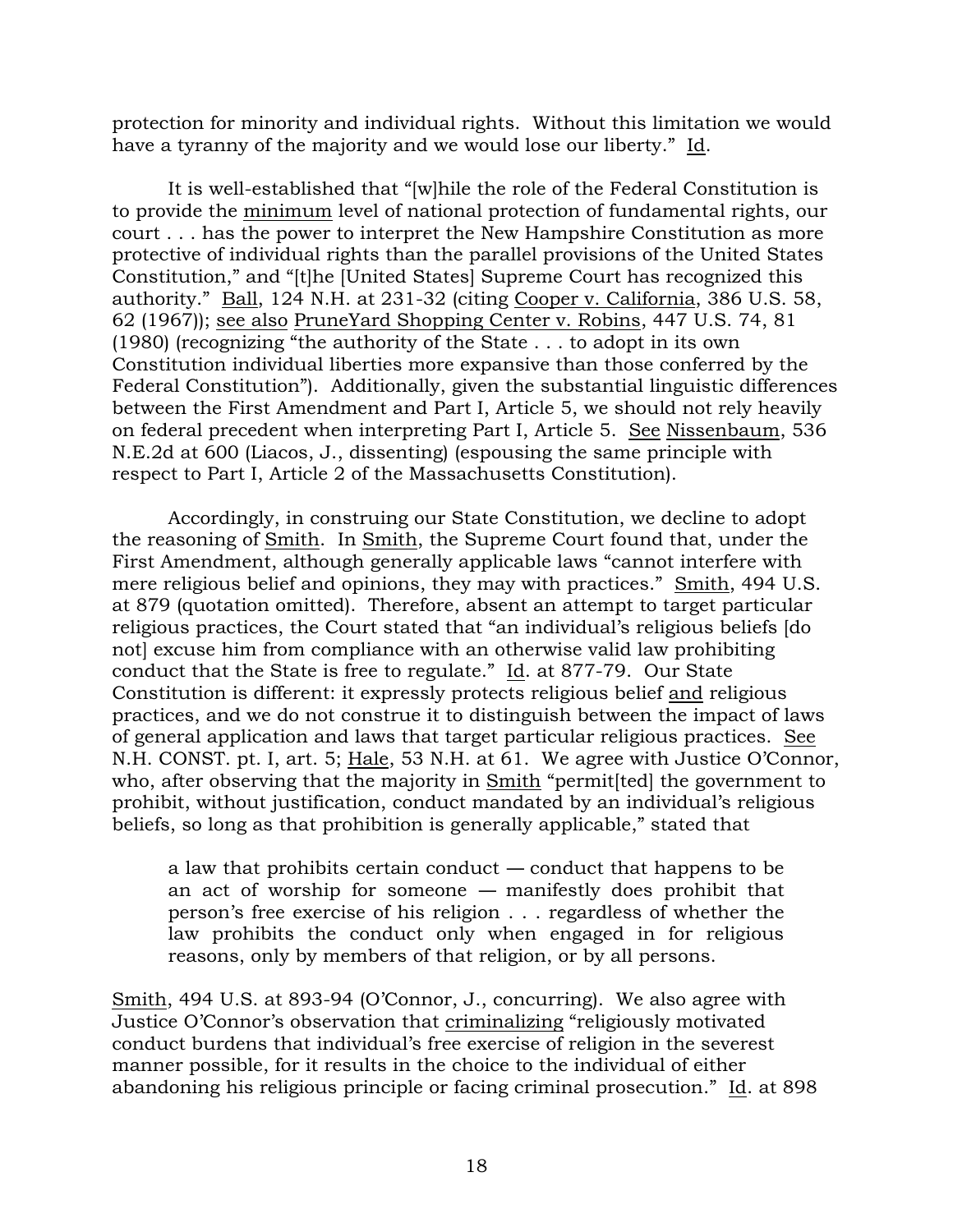protection for minority and individual rights. Without this limitation we would have a tyranny of the majority and we would lose our liberty." Id.

It is well-established that "[w]hile the role of the Federal Constitution is to provide the minimum level of national protection of fundamental rights, our court . . . has the power to interpret the New Hampshire Constitution as more protective of individual rights than the parallel provisions of the United States Constitution," and "[t]he [United States] Supreme Court has recognized this authority." Ball, 124 N.H. at 231-32 (citing Cooper v. California, 386 U.S. 58, 62 (1967)); see also PruneYard Shopping Center v. Robins, 447 U.S. 74, 81 (1980) (recognizing "the authority of the State . . . to adopt in its own Constitution individual liberties more expansive than those conferred by the Federal Constitution"). Additionally, given the substantial linguistic differences between the First Amendment and Part I, Article 5, we should not rely heavily on federal precedent when interpreting Part I, Article 5. See Nissenbaum, 536 N.E.2d at 600 (Liacos, J., dissenting) (espousing the same principle with respect to Part I, Article 2 of the Massachusetts Constitution).

Accordingly, in construing our State Constitution, we decline to adopt the reasoning of Smith. In Smith, the Supreme Court found that, under the First Amendment, although generally applicable laws "cannot interfere with mere religious belief and opinions, they may with practices." Smith, 494 U.S. at 879 (quotation omitted). Therefore, absent an attempt to target particular religious practices, the Court stated that "an individual's religious beliefs [do not] excuse him from compliance with an otherwise valid law prohibiting conduct that the State is free to regulate." Id. at 877-79. Our State Constitution is different: it expressly protects religious belief and religious practices, and we do not construe it to distinguish between the impact of laws of general application and laws that target particular religious practices. See N.H. CONST. pt. I, art. 5; Hale, 53 N.H. at 61. We agree with Justice O'Connor, who, after observing that the majority in Smith "permit[ted] the government to prohibit, without justification, conduct mandated by an individual's religious beliefs, so long as that prohibition is generally applicable," stated that

a law that prohibits certain conduct ― conduct that happens to be an act of worship for someone ― manifestly does prohibit that person's free exercise of his religion . . . regardless of whether the law prohibits the conduct only when engaged in for religious reasons, only by members of that religion, or by all persons.

Smith, 494 U.S. at 893-94 (O'Connor, J., concurring). We also agree with Justice O'Connor's observation that criminalizing "religiously motivated conduct burdens that individual's free exercise of religion in the severest manner possible, for it results in the choice to the individual of either abandoning his religious principle or facing criminal prosecution." Id. at 898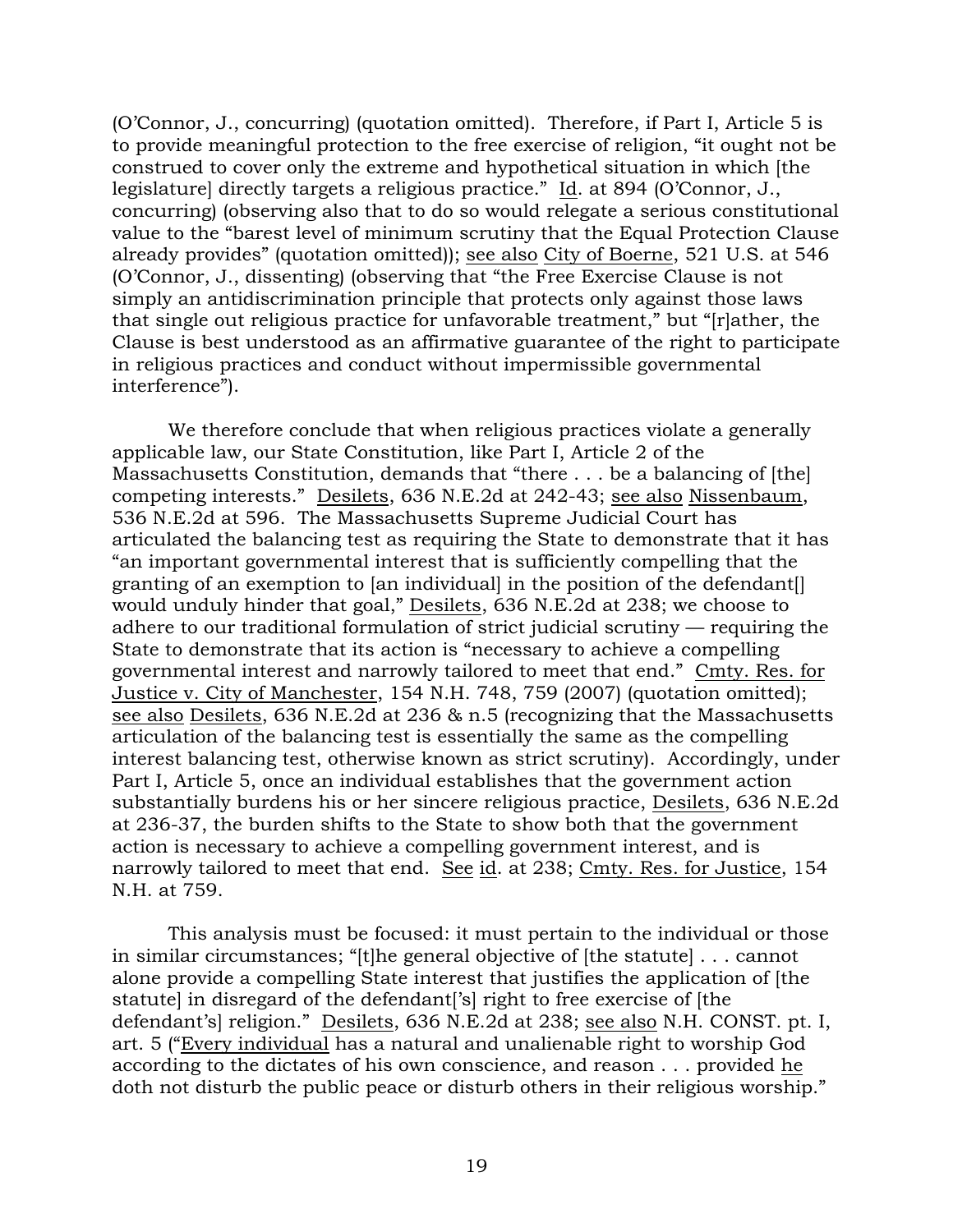(O'Connor, J., concurring) (quotation omitted). Therefore, if Part I, Article 5 is to provide meaningful protection to the free exercise of religion, "it ought not be construed to cover only the extreme and hypothetical situation in which [the legislature] directly targets a religious practice." Id. at 894 (O'Connor, J., concurring) (observing also that to do so would relegate a serious constitutional value to the "barest level of minimum scrutiny that the Equal Protection Clause already provides" (quotation omitted)); see also City of Boerne, 521 U.S. at 546 (O'Connor, J., dissenting) (observing that "the Free Exercise Clause is not simply an antidiscrimination principle that protects only against those laws that single out religious practice for unfavorable treatment," but "[r]ather, the Clause is best understood as an affirmative guarantee of the right to participate in religious practices and conduct without impermissible governmental interference").

We therefore conclude that when religious practices violate a generally applicable law, our State Constitution, like Part I, Article 2 of the Massachusetts Constitution, demands that "there . . . be a balancing of [the] competing interests." Desilets, 636 N.E.2d at 242-43; see also Nissenbaum, 536 N.E.2d at 596. The Massachusetts Supreme Judicial Court has articulated the balancing test as requiring the State to demonstrate that it has "an important governmental interest that is sufficiently compelling that the granting of an exemption to [an individual] in the position of the defendant[] would unduly hinder that goal," Desilets, 636 N.E.2d at 238; we choose to adhere to our traditional formulation of strict judicial scrutiny — requiring the State to demonstrate that its action is "necessary to achieve a compelling governmental interest and narrowly tailored to meet that end." Cmty. Res. for Justice v. City of Manchester, 154 N.H. 748, 759 (2007) (quotation omitted); see also Desilets, 636 N.E.2d at 236 & n.5 (recognizing that the Massachusetts articulation of the balancing test is essentially the same as the compelling interest balancing test, otherwise known as strict scrutiny). Accordingly, under Part I, Article 5, once an individual establishes that the government action substantially burdens his or her sincere religious practice, Desilets, 636 N.E.2d at 236-37, the burden shifts to the State to show both that the government action is necessary to achieve a compelling government interest, and is narrowly tailored to meet that end. See id. at 238; Cmty. Res. for Justice, 154 N.H. at 759.

This analysis must be focused: it must pertain to the individual or those in similar circumstances; "[t]he general objective of [the statute] . . . cannot alone provide a compelling State interest that justifies the application of [the statute] in disregard of the defendant['s] right to free exercise of [the defendant's] religion." Desilets, 636 N.E.2d at 238; see also N.H. CONST. pt. I, art. 5 ("Every individual has a natural and unalienable right to worship God according to the dictates of his own conscience, and reason . . . provided he doth not disturb the public peace or disturb others in their religious worship."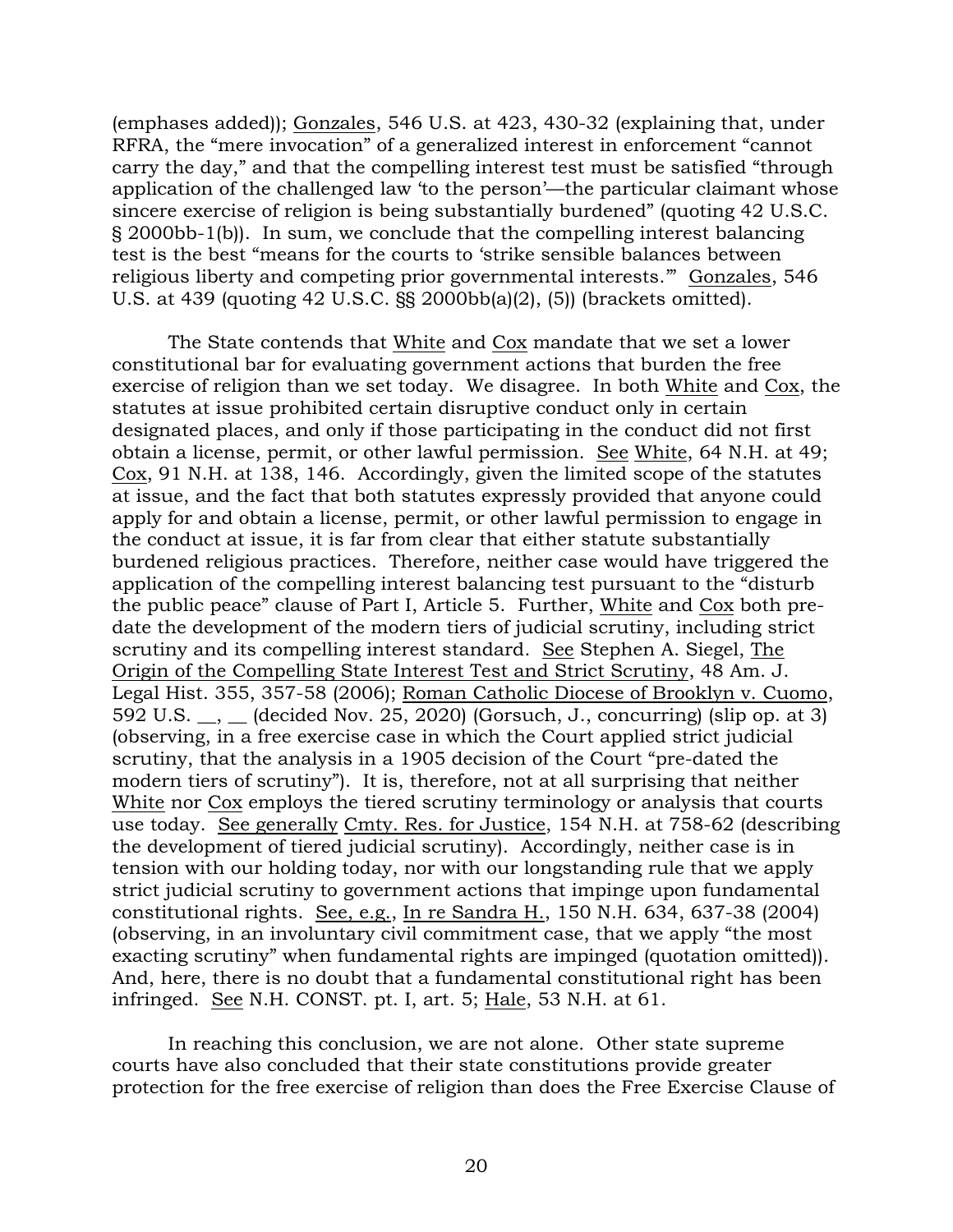(emphases added)); Gonzales, 546 U.S. at 423, 430-32 (explaining that, under RFRA, the "mere invocation" of a generalized interest in enforcement "cannot carry the day," and that the compelling interest test must be satisfied "through application of the challenged law 'to the person'—the particular claimant whose sincere exercise of religion is being substantially burdened" (quoting 42 U.S.C. § 2000bb-1(b)). In sum, we conclude that the compelling interest balancing test is the best "means for the courts to 'strike sensible balances between religious liberty and competing prior governmental interests." Gonzales, 546 U.S. at 439 (quoting 42 U.S.C. §§ 2000bb(a)(2), (5)) (brackets omitted).

The State contends that White and Cox mandate that we set a lower constitutional bar for evaluating government actions that burden the free exercise of religion than we set today. We disagree. In both White and Cox, the statutes at issue prohibited certain disruptive conduct only in certain designated places, and only if those participating in the conduct did not first obtain a license, permit, or other lawful permission. See White, 64 N.H. at 49; Cox, 91 N.H. at 138, 146. Accordingly, given the limited scope of the statutes at issue, and the fact that both statutes expressly provided that anyone could apply for and obtain a license, permit, or other lawful permission to engage in the conduct at issue, it is far from clear that either statute substantially burdened religious practices. Therefore, neither case would have triggered the application of the compelling interest balancing test pursuant to the "disturb the public peace" clause of Part I, Article 5. Further, White and Cox both predate the development of the modern tiers of judicial scrutiny, including strict scrutiny and its compelling interest standard. See Stephen A. Siegel, The Origin of the Compelling State Interest Test and Strict Scrutiny, 48 Am. J. Legal Hist. 355, 357-58 (2006); Roman Catholic Diocese of Brooklyn v. Cuomo, 592 U.S.  $\ldots$ ,  $\ldots$  (decided Nov. 25, 2020) (Gorsuch, J., concurring) (slip op. at 3) (observing, in a free exercise case in which the Court applied strict judicial scrutiny, that the analysis in a 1905 decision of the Court "pre-dated the modern tiers of scrutiny"). It is, therefore, not at all surprising that neither White nor Cox employs the tiered scrutiny terminology or analysis that courts use today. See generally Cmty. Res. for Justice, 154 N.H. at 758-62 (describing the development of tiered judicial scrutiny). Accordingly, neither case is in tension with our holding today, nor with our longstanding rule that we apply strict judicial scrutiny to government actions that impinge upon fundamental constitutional rights. See, e.g., In re Sandra H., 150 N.H. 634, 637-38 (2004) (observing, in an involuntary civil commitment case, that we apply "the most exacting scrutiny" when fundamental rights are impinged (quotation omitted)). And, here, there is no doubt that a fundamental constitutional right has been infringed. See N.H. CONST. pt. I, art. 5; Hale, 53 N.H. at 61.

In reaching this conclusion, we are not alone. Other state supreme courts have also concluded that their state constitutions provide greater protection for the free exercise of religion than does the Free Exercise Clause of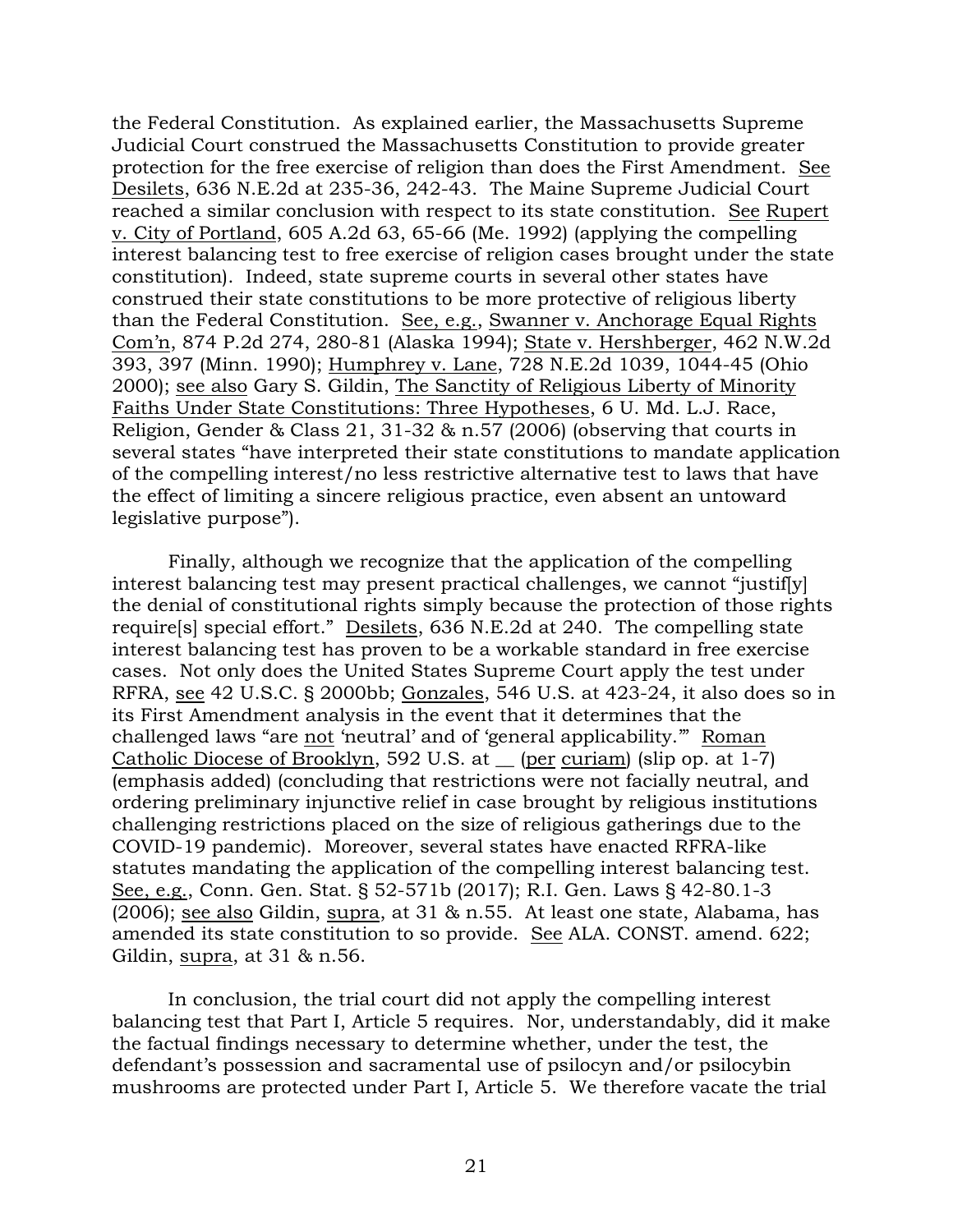the Federal Constitution. As explained earlier, the Massachusetts Supreme Judicial Court construed the Massachusetts Constitution to provide greater protection for the free exercise of religion than does the First Amendment. See Desilets, 636 N.E.2d at 235-36, 242-43. The Maine Supreme Judicial Court reached a similar conclusion with respect to its state constitution. See Rupert v. City of Portland, 605 A.2d 63, 65-66 (Me. 1992) (applying the compelling interest balancing test to free exercise of religion cases brought under the state constitution). Indeed, state supreme courts in several other states have construed their state constitutions to be more protective of religious liberty than the Federal Constitution. See, e.g., Swanner v. Anchorage Equal Rights Com'n, 874 P.2d 274, 280-81 (Alaska 1994); State v. Hershberger, 462 N.W.2d 393, 397 (Minn. 1990); Humphrey v. Lane, 728 N.E.2d 1039, 1044-45 (Ohio 2000); see also Gary S. Gildin, The Sanctity of Religious Liberty of Minority Faiths Under State Constitutions: Three Hypotheses, 6 U. Md. L.J. Race, Religion, Gender & Class 21, 31-32 & n.57 (2006) (observing that courts in several states "have interpreted their state constitutions to mandate application of the compelling interest/no less restrictive alternative test to laws that have the effect of limiting a sincere religious practice, even absent an untoward legislative purpose").

Finally, although we recognize that the application of the compelling interest balancing test may present practical challenges, we cannot "justif[y] the denial of constitutional rights simply because the protection of those rights require[s] special effort." Desilets, 636 N.E.2d at 240. The compelling state interest balancing test has proven to be a workable standard in free exercise cases. Not only does the United States Supreme Court apply the test under RFRA, see 42 U.S.C. § 2000bb; Gonzales, 546 U.S. at 423-24, it also does so in its First Amendment analysis in the event that it determines that the challenged laws "are not 'neutral' and of 'general applicability.'" Roman Catholic Diocese of Brooklyn, 592 U.S. at \_\_ (per curiam) (slip op. at 1-7) (emphasis added) (concluding that restrictions were not facially neutral, and ordering preliminary injunctive relief in case brought by religious institutions challenging restrictions placed on the size of religious gatherings due to the COVID-19 pandemic). Moreover, several states have enacted RFRA-like statutes mandating the application of the compelling interest balancing test. See, e.g., Conn. Gen. Stat. § 52-571b (2017); R.I. Gen. Laws § 42-80.1-3 (2006); see also Gildin, supra, at 31 & n.55. At least one state, Alabama, has amended its state constitution to so provide. See ALA. CONST. amend. 622; Gildin, supra, at 31 & n.56.

In conclusion, the trial court did not apply the compelling interest balancing test that Part I, Article 5 requires. Nor, understandably, did it make the factual findings necessary to determine whether, under the test, the defendant's possession and sacramental use of psilocyn and/or psilocybin mushrooms are protected under Part I, Article 5. We therefore vacate the trial